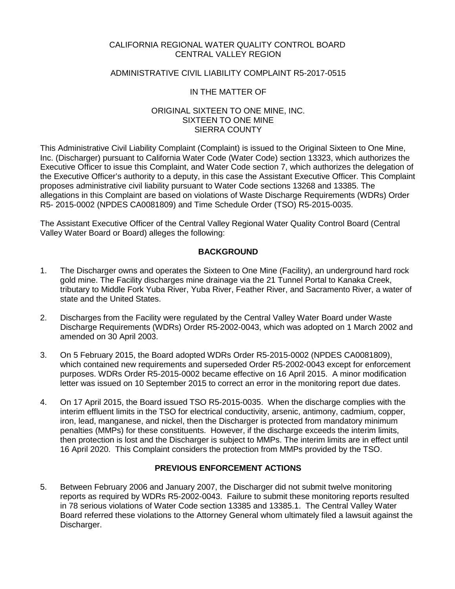### CALIFORNIA REGIONAL WATER QUALITY CONTROL BOARD CENTRAL VALLEY REGION

### ADMINISTRATIVE CIVIL LIABILITY COMPLAINT R5-2017-0515

### IN THE MATTER OF

### ORIGINAL SIXTEEN TO ONE MINE, INC. SIXTEEN TO ONE MINE SIERRA COUNTY

This Administrative Civil Liability Complaint (Complaint) is issued to the Original Sixteen to One Mine, Inc. (Discharger) pursuant to California Water Code (Water Code) section 13323, which authorizes the Executive Officer to issue this Complaint, and Water Code section 7, which authorizes the delegation of the Executive Officer's authority to a deputy, in this case the Assistant Executive Officer. This Complaint proposes administrative civil liability pursuant to Water Code sections 13268 and 13385. The allegations in this Complaint are based on violations of Waste Discharge Requirements (WDRs) Order R5- 2015-0002 (NPDES CA0081809) and Time Schedule Order (TSO) R5-2015-0035.

The Assistant Executive Officer of the Central Valley Regional Water Quality Control Board (Central Valley Water Board or Board) alleges the following:

### **BACKGROUND**

- 1. The Discharger owns and operates the Sixteen to One Mine (Facility), an underground hard rock gold mine. The Facility discharges mine drainage via the 21 Tunnel Portal to Kanaka Creek, tributary to Middle Fork Yuba River, Yuba River, Feather River, and Sacramento River, a water of state and the United States.
- 2. Discharges from the Facility were regulated by the Central Valley Water Board under Waste Discharge Requirements (WDRs) Order R5-2002-0043, which was adopted on 1 March 2002 and amended on 30 April 2003.
- 3. On 5 February 2015, the Board adopted WDRs Order R5-2015-0002 (NPDES CA0081809), which contained new requirements and superseded Order R5-2002-0043 except for enforcement purposes. WDRs Order R5-2015-0002 became effective on 16 April 2015. A minor modification letter was issued on 10 September 2015 to correct an error in the monitoring report due dates.
- 4. On 17 April 2015, the Board issued TSO R5-2015-0035. When the discharge complies with the interim effluent limits in the TSO for electrical conductivity, arsenic, antimony, cadmium, copper, iron, lead, manganese, and nickel, then the Discharger is protected from mandatory minimum penalties (MMPs) for these constituents. However, if the discharge exceeds the interim limits, then protection is lost and the Discharger is subject to MMPs. The interim limits are in effect until 16 April 2020. This Complaint considers the protection from MMPs provided by the TSO.

### **PREVIOUS ENFORCEMENT ACTIONS**

5. Between February 2006 and January 2007, the Discharger did not submit twelve monitoring reports as required by WDRs R5-2002-0043. Failure to submit these monitoring reports resulted in 78 serious violations of Water Code section 13385 and 13385.1. The Central Valley Water Board referred these violations to the Attorney General whom ultimately filed a lawsuit against the Discharger.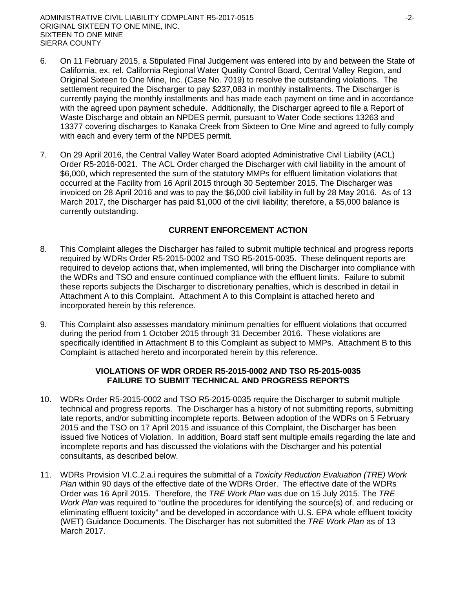- 6. On 11 February 2015, a Stipulated Final Judgement was entered into by and between the State of California, ex. rel. California Regional Water Quality Control Board, Central Valley Region, and Original Sixteen to One Mine, Inc. (Case No. 7019) to resolve the outstanding violations. The settlement required the Discharger to pay \$237,083 in monthly installments. The Discharger is currently paying the monthly installments and has made each payment on time and in accordance with the agreed upon payment schedule. Additionally, the Discharger agreed to file a Report of Waste Discharge and obtain an NPDES permit, pursuant to Water Code sections 13263 and 13377 covering discharges to Kanaka Creek from Sixteen to One Mine and agreed to fully comply with each and every term of the NPDES permit.
- 7. On 29 April 2016, the Central Valley Water Board adopted Administrative Civil Liability (ACL) Order R5-2016-0021. The ACL Order charged the Discharger with civil liability in the amount of \$6,000, which represented the sum of the statutory MMPs for effluent limitation violations that occurred at the Facility from 16 April 2015 through 30 September 2015. The Discharger was invoiced on 28 April 2016 and was to pay the \$6,000 civil liability in full by 28 May 2016. As of 13 March 2017, the Discharger has paid \$1,000 of the civil liability; therefore, a \$5,000 balance is currently outstanding.

# **CURRENT ENFORCEMENT ACTION**

- 8. This Complaint alleges the Discharger has failed to submit multiple technical and progress reports required by WDRs Order R5-2015-0002 and TSO R5-2015-0035. These delinquent reports are required to develop actions that, when implemented, will bring the Discharger into compliance with the WDRs and TSO and ensure continued compliance with the effluent limits. Failure to submit these reports subjects the Discharger to discretionary penalties, which is described in detail in Attachment A to this Complaint. Attachment A to this Complaint is attached hereto and incorporated herein by this reference.
- 9. This Complaint also assesses mandatory minimum penalties for effluent violations that occurred during the period from 1 October 2015 through 31 December 2016. These violations are specifically identified in Attachment B to this Complaint as subject to MMPs. Attachment B to this Complaint is attached hereto and incorporated herein by this reference.

### **VIOLATIONS OF WDR ORDER R5-2015-0002 AND TSO R5-2015-0035 FAILURE TO SUBMIT TECHNICAL AND PROGRESS REPORTS**

- 10. WDRs Order R5-2015-0002 and TSO R5-2015-0035 require the Discharger to submit multiple technical and progress reports. The Discharger has a history of not submitting reports, submitting late reports, and/or submitting incomplete reports. Between adoption of the WDRs on 5 February 2015 and the TSO on 17 April 2015 and issuance of this Complaint, the Discharger has been issued five Notices of Violation. In addition, Board staff sent multiple emails regarding the late and incomplete reports and has discussed the violations with the Discharger and his potential consultants, as described below.
- 11. WDRs Provision VI.C.2.a.i requires the submittal of a *Toxicity Reduction Evaluation (TRE) Work Plan* within 90 days of the effective date of the WDRs Order. The effective date of the WDRs Order was 16 April 2015. Therefore, the *TRE Work Plan* was due on 15 July 2015. The *TRE Work Plan* was required to "outline the procedures for identifying the source(s) of, and reducing or eliminating effluent toxicity" and be developed in accordance with U.S. EPA whole effluent toxicity (WET) Guidance Documents. The Discharger has not submitted the *TRE Work Plan* as of 13 March 2017.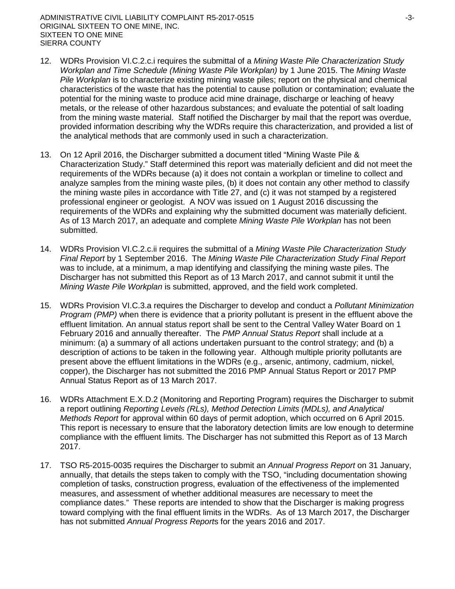- 12. WDRs Provision VI.C.2.c.i requires the submittal of a *Mining Waste Pile Characterization Study Workplan and Time Schedule (Mining Waste Pile Workplan)* by 1 June 2015. The *Mining Waste Pile Workplan* is to characterize existing mining waste piles; report on the physical and chemical characteristics of the waste that has the potential to cause pollution or contamination; evaluate the potential for the mining waste to produce acid mine drainage, discharge or leaching of heavy metals, or the release of other hazardous substances; and evaluate the potential of salt loading from the mining waste material. Staff notified the Discharger by mail that the report was overdue, provided information describing why the WDRs require this characterization, and provided a list of the analytical methods that are commonly used in such a characterization.
- 13. On 12 April 2016, the Discharger submitted a document titled "Mining Waste Pile & Characterization Study." Staff determined this report was materially deficient and did not meet the requirements of the WDRs because (a) it does not contain a workplan or timeline to collect and analyze samples from the mining waste piles, (b) it does not contain any other method to classify the mining waste piles in accordance with Title 27, and (c) it was not stamped by a registered professional engineer or geologist. A NOV was issued on 1 August 2016 discussing the requirements of the WDRs and explaining why the submitted document was materially deficient. As of 13 March 2017, an adequate and complete *Mining Waste Pile Workplan* has not been submitted.
- 14. WDRs Provision VI.C.2.c.ii requires the submittal of a *Mining Waste Pile Characterization Study Final Report* by 1 September 2016. The *Mining Waste Pile Characterization Study Final Report* was to include, at a minimum, a map identifying and classifying the mining waste piles. The Discharger has not submitted this Report as of 13 March 2017, and cannot submit it until the *Mining Waste Pile Workplan* is submitted, approved, and the field work completed.
- 15. WDRs Provision VI.C.3.a requires the Discharger to develop and conduct a *Pollutant Minimization Program (PMP)* when there is evidence that a priority pollutant is present in the effluent above the effluent limitation. An annual status report shall be sent to the Central Valley Water Board on 1 February 2016 and annually thereafter. The *PMP Annual Status Report* shall include at a minimum: (a) a summary of all actions undertaken pursuant to the control strategy; and (b) a description of actions to be taken in the following year. Although multiple priority pollutants are present above the effluent limitations in the WDRs (e.g., arsenic, antimony, cadmium, nickel, copper), the Discharger has not submitted the 2016 PMP Annual Status Report or 2017 PMP Annual Status Report as of 13 March 2017.
- 16. WDRs Attachment E.X.D.2 (Monitoring and Reporting Program) requires the Discharger to submit a report outlining *Reporting Levels (RLs), Method Detection Limits (MDLs), and Analytical Methods Report* for approval within 60 days of permit adoption, which occurred on 6 April 2015. This report is necessary to ensure that the laboratory detection limits are low enough to determine compliance with the effluent limits. The Discharger has not submitted this Report as of 13 March 2017.
- 17. TSO R5-2015-0035 requires the Discharger to submit an *Annual Progress Report* on 31 January, annually, that details the steps taken to comply with the TSO, "including documentation showing completion of tasks, construction progress, evaluation of the effectiveness of the implemented measures, and assessment of whether additional measures are necessary to meet the compliance dates." These reports are intended to show that the Discharger is making progress toward complying with the final effluent limits in the WDRs. As of 13 March 2017, the Discharger has not submitted *Annual Progress Report*s for the years 2016 and 2017.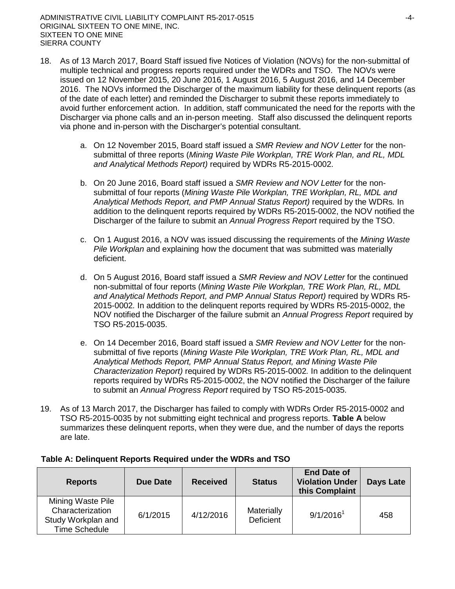ADMINISTRATIVE CIVIL LIABILITY COMPLAINT R5-2017-0515 FALL COMPLAINT RESERVED ALL COMPLETE STATES AND THE STATES ORIGINAL SIXTEEN TO ONE MINE, INC. SIXTEEN TO ONE MINE SIERRA COUNTY

- 18. As of 13 March 2017, Board Staff issued five Notices of Violation (NOVs) for the non-submittal of multiple technical and progress reports required under the WDRs and TSO. The NOVs were issued on 12 November 2015, 20 June 2016, 1 August 2016, 5 August 2016, and 14 December 2016. The NOVs informed the Discharger of the maximum liability for these delinquent reports (as of the date of each letter) and reminded the Discharger to submit these reports immediately to avoid further enforcement action. In addition, staff communicated the need for the reports with the Discharger via phone calls and an in-person meeting. Staff also discussed the delinquent reports via phone and in-person with the Discharger's potential consultant.
	- a. On 12 November 2015, Board staff issued a *SMR Review and NOV Letter* for the nonsubmittal of three reports (*Mining Waste Pile Workplan, TRE Work Plan, and RL, MDL and Analytical Methods Report)* required by WDRs R5-2015-0002.
	- b. On 20 June 2016, Board staff issued a *SMR Review and NOV Letter* for the nonsubmittal of four reports (*Mining Waste Pile Workplan, TRE Workplan, RL, MDL and Analytical Methods Report, and PMP Annual Status Report)* required by the WDRs*.* In addition to the delinquent reports required by WDRs R5-2015-0002, the NOV notified the Discharger of the failure to submit an *Annual Progress Report* required by the TSO.
	- c. On 1 August 2016, a NOV was issued discussing the requirements of the *Mining Waste Pile Workplan* and explaining how the document that was submitted was materially deficient.
	- d. On 5 August 2016, Board staff issued a *SMR Review and NOV Letter* for the continued non-submittal of four reports (*Mining Waste Pile Workplan, TRE Work Plan, RL, MDL and Analytical Methods Report, and PMP Annual Status Report)* required by WDRs R5- 2015-0002*.* In addition to the delinquent reports required by WDRs R5-2015-0002, the NOV notified the Discharger of the failure submit an *Annual Progress Report* required by TSO R5-2015-0035.
	- e. On 14 December 2016, Board staff issued a *SMR Review and NOV Letter* for the nonsubmittal of five reports (*Mining Waste Pile Workplan, TRE Work Plan, RL, MDL and Analytical Methods Report, PMP Annual Status Report, and Mining Waste Pile Characterization Report)* required by WDRs R5-2015-0002*.* In addition to the delinquent reports required by WDRs R5-2015-0002, the NOV notified the Discharger of the failure to submit an *Annual Progress Report* required by TSO R5-2015-0035.
- 19. As of 13 March 2017, the Discharger has failed to comply with WDRs Order R5-2015-0002 and TSO R5-2015-0035 by not submitting eight technical and progress reports. **Table A** below summarizes these delinquent reports, when they were due, and the number of days the reports are late.

| <b>Reports</b>                                                               | Due Date | <b>Received</b> | <b>Status</b>           | <b>End Date of</b><br><b>Violation Under</b><br>this Complaint | <b>Days Late</b> |
|------------------------------------------------------------------------------|----------|-----------------|-------------------------|----------------------------------------------------------------|------------------|
| Mining Waste Pile<br>Characterization<br>Study Workplan and<br>Time Schedule | 6/1/2015 | 4/12/2016       | Materially<br>Deficient | 9/1/2016 <sup>1</sup>                                          | 458              |

# **Table A: Delinquent Reports Required under the WDRs and TSO**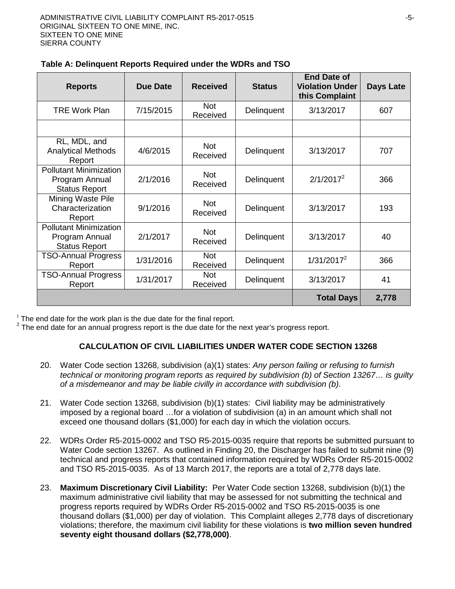| <b>Reports</b>                                                          | <b>Due Date</b> | <b>Received</b>        | <b>Status</b> | <b>End Date of</b><br><b>Violation Under</b><br>this Complaint | <b>Days Late</b> |
|-------------------------------------------------------------------------|-----------------|------------------------|---------------|----------------------------------------------------------------|------------------|
| <b>TRE Work Plan</b>                                                    | 7/15/2015       | <b>Not</b><br>Received | Delinquent    | 3/13/2017                                                      | 607              |
|                                                                         |                 |                        |               |                                                                |                  |
| RL, MDL, and<br><b>Analytical Methods</b><br>Report                     | 4/6/2015        | <b>Not</b><br>Received | Delinquent    | 3/13/2017                                                      | 707              |
| <b>Pollutant Minimization</b><br>Program Annual<br><b>Status Report</b> | 2/1/2016        | <b>Not</b><br>Received | Delinquent    | $2/1/2017^2$                                                   | 366              |
| Mining Waste Pile<br>Characterization<br>Report                         | 9/1/2016        | <b>Not</b><br>Received | Delinquent    | 3/13/2017                                                      | 193              |
| <b>Pollutant Minimization</b><br>Program Annual<br><b>Status Report</b> | 2/1/2017        | <b>Not</b><br>Received | Delinquent    | 3/13/2017                                                      | 40               |
| <b>TSO-Annual Progress</b><br>Report                                    | 1/31/2016       | <b>Not</b><br>Received | Delinquent    | $1/31/2017^2$                                                  | 366              |
| <b>TSO-Annual Progress</b><br>Report                                    | 1/31/2017       | <b>Not</b><br>Received | Delinquent    | 3/13/2017                                                      | 41               |
|                                                                         |                 |                        |               | <b>Total Days</b>                                              | 2,778            |

 $1$  The end date for the work plan is the due date for the final report.

 $2$  The end date for an annual progress report is the due date for the next year's progress report.

# **CALCULATION OF CIVIL LIABILITIES UNDER WATER CODE SECTION 13268**

- 20. Water Code section 13268, subdivision (a)(1) states: *Any person failing or refusing to furnish technical or monitoring program reports as required by subdivision (b) of Section 13267… is guilty of a misdemeanor and may be liable civilly in accordance with subdivision (b)*.
- 21. Water Code section 13268, subdivision (b)(1) states: Civil liability may be administratively imposed by a regional board …for a violation of subdivision (a) in an amount which shall not exceed one thousand dollars (\$1,000) for each day in which the violation occurs.
- 22. WDRs Order R5-2015-0002 and TSO R5-2015-0035 require that reports be submitted pursuant to Water Code section 13267. As outlined in Finding 20, the Discharger has failed to submit nine (9) technical and progress reports that contained information required by WDRs Order R5-2015-0002 and TSO R5-2015-0035. As of 13 March 2017, the reports are a total of 2,778 days late.
- 23. **Maximum Discretionary Civil Liability:** Per Water Code section 13268, subdivision (b)(1) the maximum administrative civil liability that may be assessed for not submitting the technical and progress reports required by WDRs Order R5-2015-0002 and TSO R5-2015-0035 is one thousand dollars (\$1,000) per day of violation. This Complaint alleges 2,778 days of discretionary violations; therefore, the maximum civil liability for these violations is **two million seven hundred seventy eight thousand dollars (\$2,778,000)**.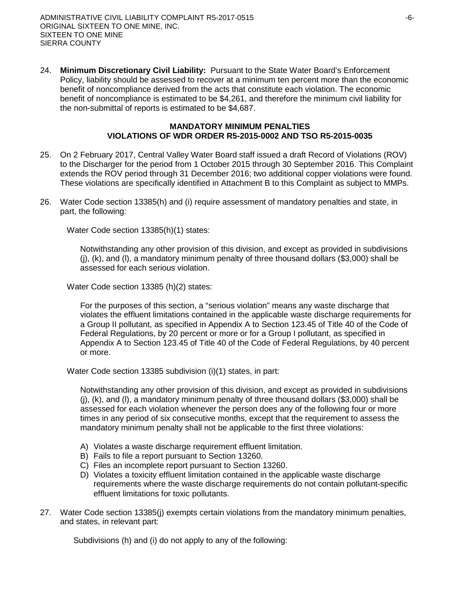24. **Minimum Discretionary Civil Liability:** Pursuant to the State Water Board's Enforcement Policy, liability should be assessed to recover at a minimum ten percent more than the economic benefit of noncompliance derived from the acts that constitute each violation. The economic benefit of noncompliance is estimated to be \$4,261, and therefore the minimum civil liability for the non-submittal of reports is estimated to be \$4,687.

### **MANDATORY MINIMUM PENALTIES VIOLATIONS OF WDR ORDER R5-2015-0002 AND TSO R5-2015-0035**

- 25. On 2 February 2017, Central Valley Water Board staff issued a draft Record of Violations (ROV) to the Discharger for the period from 1 October 2015 through 30 September 2016. This Complaint extends the ROV period through 31 December 2016; two additional copper violations were found. These violations are specifically identified in Attachment B to this Complaint as subject to MMPs.
- 26. Water Code section 13385(h) and (i) require assessment of mandatory penalties and state, in part, the following:

Water Code section 13385(h)(1) states:

Notwithstanding any other provision of this division, and except as provided in subdivisions (j), (k), and (l), a mandatory minimum penalty of three thousand dollars (\$3,000) shall be assessed for each serious violation.

Water Code section 13385 (h)(2) states:

For the purposes of this section, a "serious violation" means any waste discharge that violates the effluent limitations contained in the applicable waste discharge requirements for a Group II pollutant, as specified in Appendix A to Section 123.45 of Title 40 of the Code of Federal Regulations, by 20 percent or more or for a Group I pollutant, as specified in Appendix A to Section 123.45 of Title 40 of the Code of Federal Regulations, by 40 percent or more.

Water Code section 13385 subdivision (i)(1) states, in part:

Notwithstanding any other provision of this division, and except as provided in subdivisions (j), (k), and (l), a mandatory minimum penalty of three thousand dollars (\$3,000) shall be assessed for each violation whenever the person does any of the following four or more times in any period of six consecutive months, except that the requirement to assess the mandatory minimum penalty shall not be applicable to the first three violations:

- A) Violates a waste discharge requirement effluent limitation.
- B) Fails to file a report pursuant to Section 13260.
- C) Files an incomplete report pursuant to Section 13260.
- D) Violates a toxicity effluent limitation contained in the applicable waste discharge requirements where the waste discharge requirements do not contain pollutant-specific effluent limitations for toxic pollutants.
- 27. Water Code section 13385(j) exempts certain violations from the mandatory minimum penalties, and states, in relevant part:

Subdivisions (h) and (i) do not apply to any of the following: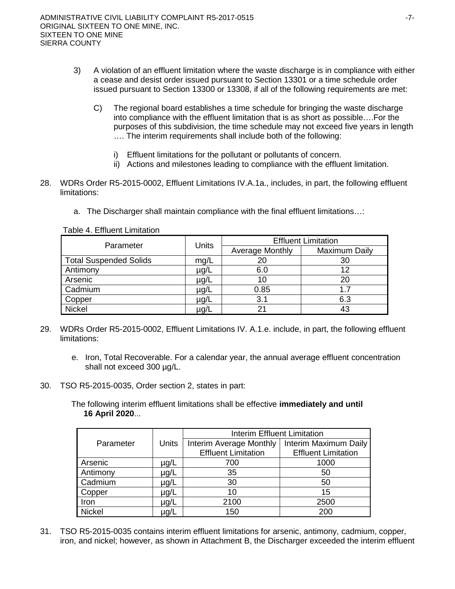- 3) A violation of an effluent limitation where the waste discharge is in compliance with either a cease and desist order issued pursuant to Section 13301 or a time schedule order issued pursuant to Section 13300 or 13308, if all of the following requirements are met:
	- C) The regional board establishes a time schedule for bringing the waste discharge into compliance with the effluent limitation that is as short as possible….For the purposes of this subdivision, the time schedule may not exceed five years in length …. The interim requirements shall include both of the following:
		- i) Effluent limitations for the pollutant or pollutants of concern.
		- ii) Actions and milestones leading to compliance with the effluent limitation.
- 28. WDRs Order R5-2015-0002, Effluent Limitations IV.A.1a., includes, in part, the following effluent limitations:
	- a. The Discharger shall maintain compliance with the final effluent limitations…:

| Parameter                     | <b>Units</b> | <b>Effluent Limitation</b> |               |  |  |
|-------------------------------|--------------|----------------------------|---------------|--|--|
|                               |              | Average Monthly            | Maximum Daily |  |  |
| <b>Total Suspended Solids</b> | mg/L         | 20                         | 30            |  |  |
| Antimony                      | µg/L         | 6.0                        | 12            |  |  |
| Arsenic                       | µg/L         | 10                         | 20            |  |  |
| Cadmium                       | µg/L         | 0.85                       | 1.7           |  |  |
| Copper                        | ug/L         | 3.1                        | 6.3           |  |  |
| <b>Nickel</b>                 | µg/L         |                            | 43            |  |  |

Table 4. Effluent Limitation

- 29. WDRs Order R5-2015-0002, Effluent Limitations IV. A.1.e. include, in part, the following effluent limitations:
	- e. Iron, Total Recoverable. For a calendar year, the annual average effluent concentration shall not exceed 300 µg/L.
- 30. TSO R5-2015-0035, Order section 2, states in part:

The following interim effluent limitations shall be effective **immediately and until 16 April 2020**...

|               |              | <b>Interim Effluent Limitation</b> |                            |  |  |  |  |
|---------------|--------------|------------------------------------|----------------------------|--|--|--|--|
| Parameter     | <b>Units</b> | Interim Average Monthly            | Interim Maximum Daily      |  |  |  |  |
|               |              | <b>Effluent Limitation</b>         | <b>Effluent Limitation</b> |  |  |  |  |
| Arsenic       | µg/L         | 700                                | 1000                       |  |  |  |  |
| Antimony      | $\mu$ g/L    | 35                                 | 50                         |  |  |  |  |
| Cadmium       | µg/L         | 30                                 | 50                         |  |  |  |  |
| Copper        | µg/L         | 10                                 | 15                         |  |  |  |  |
| Iron          | µg/L         | 2100                               | 2500                       |  |  |  |  |
| <b>Nickel</b> | µg/L         | 150                                | 200                        |  |  |  |  |

31. TSO R5-2015-0035 contains interim effluent limitations for arsenic, antimony, cadmium, copper, iron, and nickel; however, as shown in Attachment B, the Discharger exceeded the interim effluent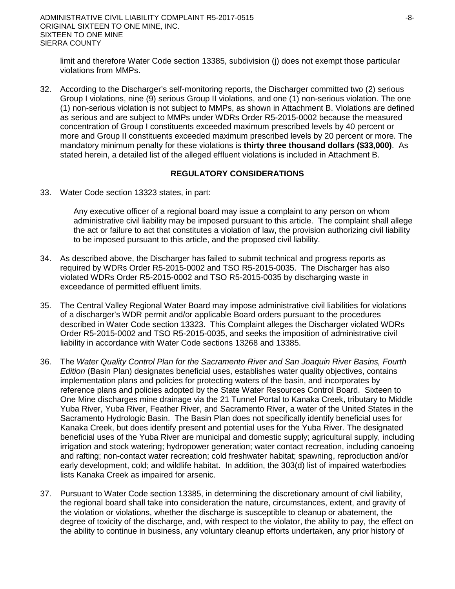limit and therefore Water Code section 13385, subdivision (j) does not exempt those particular violations from MMPs.

32. According to the Discharger's self-monitoring reports, the Discharger committed two (2) serious Group I violations, nine (9) serious Group II violations, and one (1) non-serious violation. The one (1) non-serious violation is not subject to MMPs, as shown in Attachment B. Violations are defined as serious and are subject to MMPs under WDRs Order R5-2015-0002 because the measured concentration of Group I constituents exceeded maximum prescribed levels by 40 percent or more and Group II constituents exceeded maximum prescribed levels by 20 percent or more. The mandatory minimum penalty for these violations is **thirty three thousand dollars (\$33,000)**. As stated herein, a detailed list of the alleged effluent violations is included in Attachment B.

### **REGULATORY CONSIDERATIONS**

33. Water Code section 13323 states, in part:

Any executive officer of a regional board may issue a complaint to any person on whom administrative civil liability may be imposed pursuant to this article. The complaint shall allege the act or failure to act that constitutes a violation of law, the provision authorizing civil liability to be imposed pursuant to this article, and the proposed civil liability.

- 34. As described above, the Discharger has failed to submit technical and progress reports as required by WDRs Order R5-2015-0002 and TSO R5-2015-0035. The Discharger has also violated WDRs Order R5-2015-0002 and TSO R5-2015-0035 by discharging waste in exceedance of permitted effluent limits.
- 35. The Central Valley Regional Water Board may impose administrative civil liabilities for violations of a discharger's WDR permit and/or applicable Board orders pursuant to the procedures described in Water Code section 13323. This Complaint alleges the Discharger violated WDRs Order R5-2015-0002 and TSO R5-2015-0035, and seeks the imposition of administrative civil liability in accordance with Water Code sections 13268 and 13385.
- 36. The *Water Quality Control Plan for the Sacramento River and San Joaquin River Basins, Fourth Edition* (Basin Plan) designates beneficial uses, establishes water quality objectives, contains implementation plans and policies for protecting waters of the basin, and incorporates by reference plans and policies adopted by the State Water Resources Control Board. Sixteen to One Mine discharges mine drainage via the 21 Tunnel Portal to Kanaka Creek, tributary to Middle Yuba River, Yuba River, Feather River, and Sacramento River, a water of the United States in the Sacramento Hydrologic Basin. The Basin Plan does not specifically identify beneficial uses for Kanaka Creek, but does identify present and potential uses for the Yuba River. The designated beneficial uses of the Yuba River are municipal and domestic supply; agricultural supply, including irrigation and stock watering; hydropower generation; water contact recreation, including canoeing and rafting; non-contact water recreation; cold freshwater habitat; spawning, reproduction and/or early development, cold; and wildlife habitat. In addition, the 303(d) list of impaired waterbodies lists Kanaka Creek as impaired for arsenic.
- 37. Pursuant to Water Code section 13385, in determining the discretionary amount of civil liability, the regional board shall take into consideration the nature, circumstances, extent, and gravity of the violation or violations, whether the discharge is susceptible to cleanup or abatement, the degree of toxicity of the discharge, and, with respect to the violator, the ability to pay, the effect on the ability to continue in business, any voluntary cleanup efforts undertaken, any prior history of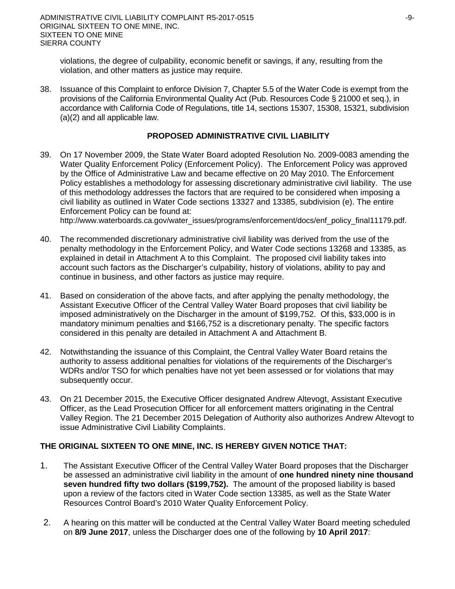violations, the degree of culpability, economic benefit or savings, if any, resulting from the violation, and other matters as justice may require.

38. Issuance of this Complaint to enforce Division 7, Chapter 5.5 of the Water Code is exempt from the provisions of the California Environmental Quality Act (Pub. Resources Code § 21000 et seq.), in accordance with California Code of Regulations, title 14, sections 15307, 15308, 15321, subdivision (a)(2) and all applicable law.

#### **PROPOSED ADMINISTRATIVE CIVIL LIABILITY**

39. On 17 November 2009, the State Water Board adopted Resolution No. 2009-0083 amending the Water Quality Enforcement Policy (Enforcement Policy). The Enforcement Policy was approved by the Office of Administrative Law and became effective on 20 May 2010. The Enforcement Policy establishes a methodology for assessing discretionary administrative civil liability. The use of this methodology addresses the factors that are required to be considered when imposing a civil liability as outlined in Water Code sections 13327 and 13385, subdivision (e). The entire Enforcement Policy can be found at:

http://www.waterboards.ca.gov/water\_issues/programs/enforcement/docs/enf\_policy\_final11179.pdf.

- 40. The recommended discretionary administrative civil liability was derived from the use of the penalty methodology in the Enforcement Policy, and Water Code sections 13268 and 13385, as explained in detail in Attachment A to this Complaint. The proposed civil liability takes into account such factors as the Discharger's culpability, history of violations, ability to pay and continue in business, and other factors as justice may require.
- 41. Based on consideration of the above facts, and after applying the penalty methodology, the Assistant Executive Officer of the Central Valley Water Board proposes that civil liability be imposed administratively on the Discharger in the amount of \$199,752. Of this, \$33,000 is in mandatory minimum penalties and \$166,752 is a discretionary penalty. The specific factors considered in this penalty are detailed in Attachment A and Attachment B.
- 42. Notwithstanding the issuance of this Complaint, the Central Valley Water Board retains the authority to assess additional penalties for violations of the requirements of the Discharger's WDRs and/or TSO for which penalties have not yet been assessed or for violations that may subsequently occur.
- 43. On 21 December 2015, the Executive Officer designated Andrew Altevogt, Assistant Executive Officer, as the Lead Prosecution Officer for all enforcement matters originating in the Central Valley Region. The 21 December 2015 Delegation of Authority also authorizes Andrew Altevogt to issue Administrative Civil Liability Complaints.

### **THE ORIGINAL SIXTEEN TO ONE MINE, INC. IS HEREBY GIVEN NOTICE THAT:**

- 1. The Assistant Executive Officer of the Central Valley Water Board proposes that the Discharger be assessed an administrative civil liability in the amount of **one hundred ninety nine thousand seven hundred fifty two dollars (\$199,752).** The amount of the proposed liability is based upon a review of the factors cited in Water Code section 13385, as well as the State Water Resources Control Board's 2010 Water Quality Enforcement Policy.
- 2. A hearing on this matter will be conducted at the Central Valley Water Board meeting scheduled on **8/9 June 2017**, unless the Discharger does one of the following by **10 April 2017**: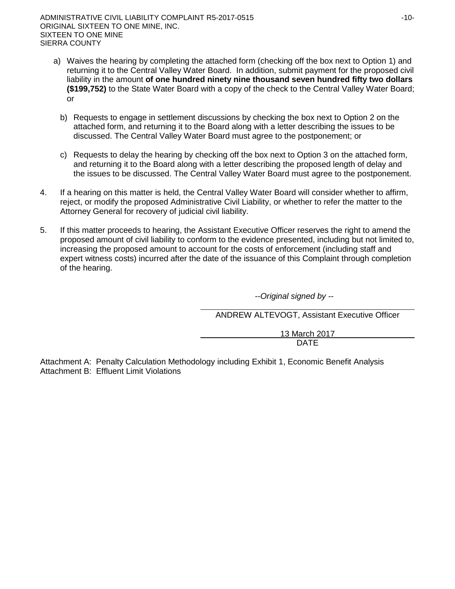ADMINISTRATIVE CIVIL LIABILITY COMPLAINT R5-2017-0515 40-10-ORIGINAL SIXTEEN TO ONE MINE, INC. SIXTEEN TO ONE MINE SIERRA COUNTY

- a) Waives the hearing by completing the attached form (checking off the box next to Option 1) and returning it to the Central Valley Water Board. In addition, submit payment for the proposed civil liability in the amount **of one hundred ninety nine thousand seven hundred fifty two dollars (\$199,752)** to the State Water Board with a copy of the check to the Central Valley Water Board; or
	- b) Requests to engage in settlement discussions by checking the box next to Option 2 on the attached form, and returning it to the Board along with a letter describing the issues to be discussed. The Central Valley Water Board must agree to the postponement; or
	- c) Requests to delay the hearing by checking off the box next to Option 3 on the attached form, and returning it to the Board along with a letter describing the proposed length of delay and the issues to be discussed. The Central Valley Water Board must agree to the postponement.
- 4. If a hearing on this matter is held, the Central Valley Water Board will consider whether to affirm, reject, or modify the proposed Administrative Civil Liability, or whether to refer the matter to the Attorney General for recovery of judicial civil liability.
- 5. If this matter proceeds to hearing, the Assistant Executive Officer reserves the right to amend the proposed amount of civil liability to conform to the evidence presented, including but not limited to, increasing the proposed amount to account for the costs of enforcement (including staff and expert witness costs) incurred after the date of the issuance of this Complaint through completion of the hearing.

--*Original signed by --*

ANDREW ALTEVOGT, Assistant Executive Officer

13 March 2017 DATE

Attachment A: Penalty Calculation Methodology including Exhibit 1, Economic Benefit Analysis Attachment B: Effluent Limit Violations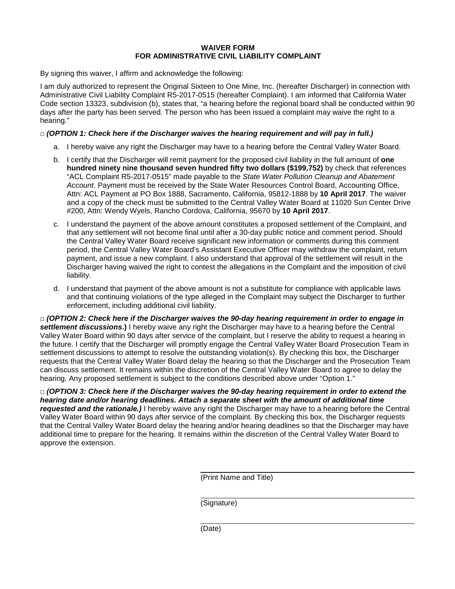#### **WAIVER FORM FOR ADMINISTRATIVE CIVIL LIABILITY COMPLAINT**

By signing this waiver, I affirm and acknowledge the following:

I am duly authorized to represent the Original Sixteen to One Mine, Inc. (hereafter Discharger) in connection with Administrative Civil Liability Complaint R5-2017-0515 (hereafter Complaint). I am informed that California Water Code section 13323, subdivision (b), states that, "a hearing before the regional board shall be conducted within 90 days after the party has been served. The person who has been issued a complaint may waive the right to a hearing."

### **□** *(OPTION 1: Check here if the Discharger waives the hearing requirement and will pay in full.)*

- a. I hereby waive any right the Discharger may have to a hearing before the Central Valley Water Board.
- b. I certify that the Discharger will remit payment for the proposed civil liability in the full amount of **one hundred ninety nine thousand seven hundred fifty two dollars (\$199,752)** by check that references "ACL Complaint R5-2017-0515" made payable to the *State Water Pollution Cleanup and Abatement Account*. Payment must be received by the State Water Resources Control Board, Accounting Office, Attn: ACL Payment at PO Box 1888, Sacramento, California, 95812-1888 by **10 April 2017**. The waiver and a copy of the check must be submitted to the Central Valley Water Board at 11020 Sun Center Drive #200, Attn: Wendy Wyels, Rancho Cordova, California, 95670 by **10 April 2017**.
- c. I understand the payment of the above amount constitutes a proposed settlement of the Complaint, and that any settlement will not become final until after a 30-day public notice and comment period. Should the Central Valley Water Board receive significant new information or comments during this comment period, the Central Valley Water Board's Assistant Executive Officer may withdraw the complaint, return payment, and issue a new complaint. I also understand that approval of the settlement will result in the Discharger having waived the right to contest the allegations in the Complaint and the imposition of civil liability.
- d. I understand that payment of the above amount is not a substitute for compliance with applicable laws and that continuing violations of the type alleged in the Complaint may subject the Discharger to further enforcement, including additional civil liability.

**□** *(OPTION 2: Check here if the Discharger waives the 90-day hearing requirement in order to engage in settlement discussions***.)** I hereby waive any right the Discharger may have to a hearing before the Central Valley Water Board within 90 days after service of the complaint, but I reserve the ability to request a hearing in the future. I certify that the Discharger will promptly engage the Central Valley Water Board Prosecution Team in settlement discussions to attempt to resolve the outstanding violation(s). By checking this box, the Discharger requests that the Central Valley Water Board delay the hearing so that the Discharger and the Prosecution Team can discuss settlement. It remains within the discretion of the Central Valley Water Board to agree to delay the hearing. Any proposed settlement is subject to the conditions described above under "Option 1."

**□** *(OPTION 3: Check here if the Discharger waives the 90-day hearing requirement in order to extend the hearing date and/or hearing deadlines. Attach a separate sheet with the amount of additional time requested and the rationale.)* I hereby waive any right the Discharger may have to a hearing before the Central Valley Water Board within 90 days after service of the complaint. By checking this box, the Discharger requests that the Central Valley Water Board delay the hearing and/or hearing deadlines so that the Discharger may have additional time to prepare for the hearing. It remains within the discretion of the Central Valley Water Board to approve the extension.

(Print Name and Title)

(Signature)

(Date)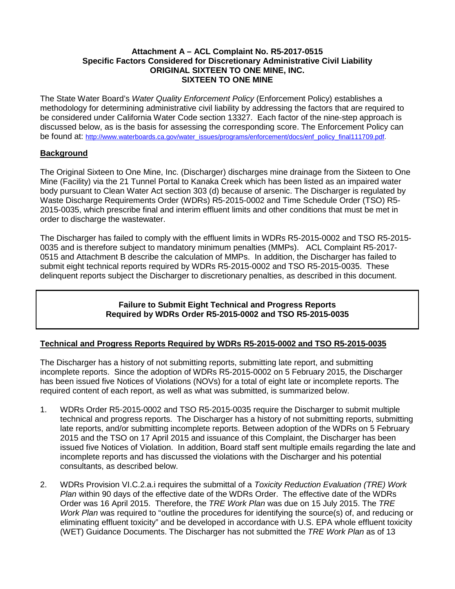### **Attachment A – ACL Complaint No. R5-2017-0515 Specific Factors Considered for Discretionary Administrative Civil Liability ORIGINAL SIXTEEN TO ONE MINE, INC. SIXTEEN TO ONE MINE**

The State Water Board's *Water Quality Enforcement Policy* (Enforcement Policy) establishes a methodology for determining administrative civil liability by addressing the factors that are required to be considered under California Water Code section 13327. Each factor of the nine-step approach is discussed below, as is the basis for assessing the corresponding score. The Enforcement Policy can be found at: http://www.waterboards.ca.gov/water\_issues/programs/enforcement/docs/enf\_policy\_final111709.pdf.

# **Background**

The Original Sixteen to One Mine, Inc. (Discharger) discharges mine drainage from the Sixteen to One Mine (Facility) via the 21 Tunnel Portal to Kanaka Creek which has been listed as an impaired water body pursuant to Clean Water Act section 303 (d) because of arsenic. The Discharger is regulated by Waste Discharge Requirements Order (WDRs) R5-2015-0002 and Time Schedule Order (TSO) R5- 2015-0035, which prescribe final and interim effluent limits and other conditions that must be met in order to discharge the wastewater.

The Discharger has failed to comply with the effluent limits in WDRs R5-2015-0002 and TSO R5-2015- 0035 and is therefore subject to mandatory minimum penalties (MMPs). ACL Complaint R5-2017- 0515 and Attachment B describe the calculation of MMPs. In addition, the Discharger has failed to submit eight technical reports required by WDRs R5-2015-0002 and TSO R5-2015-0035. These delinquent reports subject the Discharger to discretionary penalties, as described in this document.

# **Failure to Submit Eight Technical and Progress Reports Required by WDRs Order R5-2015-0002 and TSO R5-2015-0035**

# **Technical and Progress Reports Required by WDRs R5-2015-0002 and TSO R5-2015-0035**

The Discharger has a history of not submitting reports, submitting late report, and submitting incomplete reports. Since the adoption of WDRs R5-2015-0002 on 5 February 2015, the Discharger has been issued five Notices of Violations (NOVs) for a total of eight late or incomplete reports. The required content of each report, as well as what was submitted, is summarized below.

- 1. WDRs Order R5-2015-0002 and TSO R5-2015-0035 require the Discharger to submit multiple technical and progress reports. The Discharger has a history of not submitting reports, submitting late reports, and/or submitting incomplete reports. Between adoption of the WDRs on 5 February 2015 and the TSO on 17 April 2015 and issuance of this Complaint, the Discharger has been issued five Notices of Violation. In addition, Board staff sent multiple emails regarding the late and incomplete reports and has discussed the violations with the Discharger and his potential consultants, as described below.
- 2. WDRs Provision VI.C.2.a.i requires the submittal of a *Toxicity Reduction Evaluation (TRE) Work Plan* within 90 days of the effective date of the WDRs Order. The effective date of the WDRs Order was 16 April 2015. Therefore, the *TRE Work Plan* was due on 15 July 2015. The *TRE Work Plan* was required to "outline the procedures for identifying the source(s) of, and reducing or eliminating effluent toxicity" and be developed in accordance with U.S. EPA whole effluent toxicity (WET) Guidance Documents. The Discharger has not submitted the *TRE Work Plan* as of 13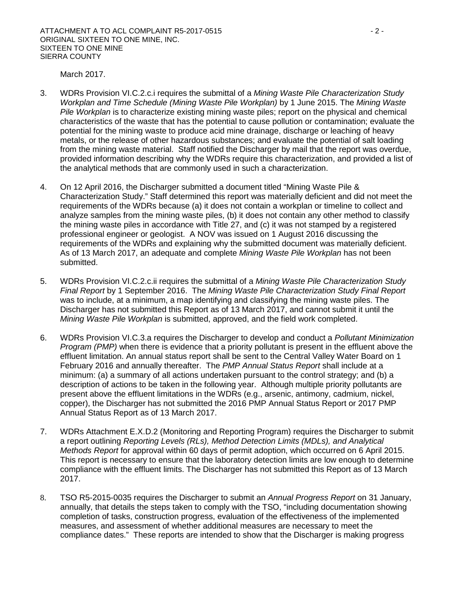March 2017.

- 3. WDRs Provision VI.C.2.c.i requires the submittal of a *Mining Waste Pile Characterization Study Workplan and Time Schedule (Mining Waste Pile Workplan)* by 1 June 2015. The *Mining Waste Pile Workplan* is to characterize existing mining waste piles; report on the physical and chemical characteristics of the waste that has the potential to cause pollution or contamination; evaluate the potential for the mining waste to produce acid mine drainage, discharge or leaching of heavy metals, or the release of other hazardous substances; and evaluate the potential of salt loading from the mining waste material. Staff notified the Discharger by mail that the report was overdue, provided information describing why the WDRs require this characterization, and provided a list of the analytical methods that are commonly used in such a characterization.
- 4. On 12 April 2016, the Discharger submitted a document titled "Mining Waste Pile & Characterization Study." Staff determined this report was materially deficient and did not meet the requirements of the WDRs because (a) it does not contain a workplan or timeline to collect and analyze samples from the mining waste piles, (b) it does not contain any other method to classify the mining waste piles in accordance with Title 27, and (c) it was not stamped by a registered professional engineer or geologist. A NOV was issued on 1 August 2016 discussing the requirements of the WDRs and explaining why the submitted document was materially deficient. As of 13 March 2017, an adequate and complete *Mining Waste Pile Workplan* has not been submitted.
- 5. WDRs Provision VI.C.2.c.ii requires the submittal of a *Mining Waste Pile Characterization Study Final Report* by 1 September 2016. The *Mining Waste Pile Characterization Study Final Report* was to include, at a minimum, a map identifying and classifying the mining waste piles. The Discharger has not submitted this Report as of 13 March 2017, and cannot submit it until the *Mining Waste Pile Workplan* is submitted, approved, and the field work completed.
- 6. WDRs Provision VI.C.3.a requires the Discharger to develop and conduct a *Pollutant Minimization Program (PMP)* when there is evidence that a priority pollutant is present in the effluent above the effluent limitation. An annual status report shall be sent to the Central Valley Water Board on 1 February 2016 and annually thereafter. The *PMP Annual Status Report* shall include at a minimum: (a) a summary of all actions undertaken pursuant to the control strategy; and (b) a description of actions to be taken in the following year. Although multiple priority pollutants are present above the effluent limitations in the WDRs (e.g., arsenic, antimony, cadmium, nickel, copper), the Discharger has not submitted the 2016 PMP Annual Status Report or 2017 PMP Annual Status Report as of 13 March 2017.
- 7. WDRs Attachment E.X.D.2 (Monitoring and Reporting Program) requires the Discharger to submit a report outlining *Reporting Levels (RLs), Method Detection Limits (MDLs), and Analytical Methods Report* for approval within 60 days of permit adoption, which occurred on 6 April 2015. This report is necessary to ensure that the laboratory detection limits are low enough to determine compliance with the effluent limits. The Discharger has not submitted this Report as of 13 March 2017.
- 8. TSO R5-2015-0035 requires the Discharger to submit an *Annual Progress Report* on 31 January, annually, that details the steps taken to comply with the TSO, "including documentation showing completion of tasks, construction progress, evaluation of the effectiveness of the implemented measures, and assessment of whether additional measures are necessary to meet the compliance dates." These reports are intended to show that the Discharger is making progress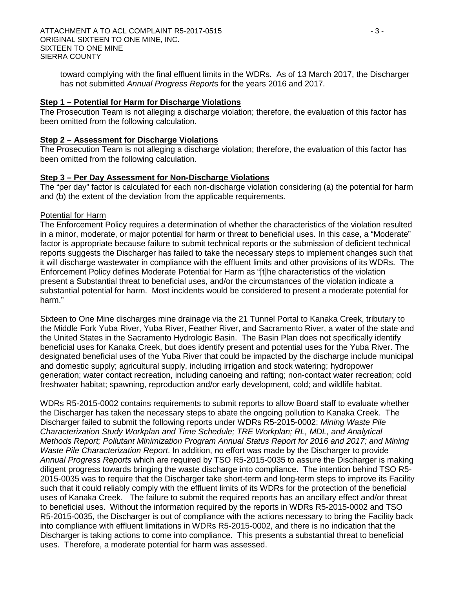toward complying with the final effluent limits in the WDRs. As of 13 March 2017, the Discharger has not submitted *Annual Progress Report*s for the years 2016 and 2017.

### **Step 1 – Potential for Harm for Discharge Violations**

The Prosecution Team is not alleging a discharge violation; therefore, the evaluation of this factor has been omitted from the following calculation.

### **Step 2 – Assessment for Discharge Violations**

The Prosecution Team is not alleging a discharge violation; therefore, the evaluation of this factor has been omitted from the following calculation.

### **Step 3 – Per Day Assessment for Non-Discharge Violations**

The "per day" factor is calculated for each non-discharge violation considering (a) the potential for harm and (b) the extent of the deviation from the applicable requirements.

### Potential for Harm

The Enforcement Policy requires a determination of whether the characteristics of the violation resulted in a minor, moderate, or major potential for harm or threat to beneficial uses. In this case, a "Moderate" factor is appropriate because failure to submit technical reports or the submission of deficient technical reports suggests the Discharger has failed to take the necessary steps to implement changes such that it will discharge wastewater in compliance with the effluent limits and other provisions of its WDRs. The Enforcement Policy defines Moderate Potential for Harm as "[t]he characteristics of the violation present a Substantial threat to beneficial uses, and/or the circumstances of the violation indicate a substantial potential for harm. Most incidents would be considered to present a moderate potential for harm."

Sixteen to One Mine discharges mine drainage via the 21 Tunnel Portal to Kanaka Creek, tributary to the Middle Fork Yuba River, Yuba River, Feather River, and Sacramento River, a water of the state and the United States in the Sacramento Hydrologic Basin. The Basin Plan does not specifically identify beneficial uses for Kanaka Creek, but does identify present and potential uses for the Yuba River. The designated beneficial uses of the Yuba River that could be impacted by the discharge include municipal and domestic supply; agricultural supply, including irrigation and stock watering; hydropower generation; water contact recreation, including canoeing and rafting; non-contact water recreation; cold freshwater habitat; spawning, reproduction and/or early development, cold; and wildlife habitat.

WDRs R5-2015-0002 contains requirements to submit reports to allow Board staff to evaluate whether the Discharger has taken the necessary steps to abate the ongoing pollution to Kanaka Creek. The Discharger failed to submit the following reports under WDRs R5-2015-0002: *Mining Waste Pile Characterization Study Workplan and Time Schedule; TRE Workplan; RL, MDL, and Analytical Methods Report; Pollutant Minimization Program Annual Status Report for 2016 and 2017; and Mining Waste Pile Characterization Report*. In addition, no effort was made by the Discharger to provide *Annual Progress Reports* which are required by TSO R5-2015-0035 to assure the Discharger is making diligent progress towards bringing the waste discharge into compliance. The intention behind TSO R5- 2015-0035 was to require that the Discharger take short-term and long-term steps to improve its Facility such that it could reliably comply with the effluent limits of its WDRs for the protection of the beneficial uses of Kanaka Creek. The failure to submit the required reports has an ancillary effect and/or threat to beneficial uses. Without the information required by the reports in WDRs R5-2015-0002 and TSO R5-2015-0035, the Discharger is out of compliance with the actions necessary to bring the Facility back into compliance with effluent limitations in WDRs R5-2015-0002, and there is no indication that the Discharger is taking actions to come into compliance. This presents a substantial threat to beneficial uses. Therefore, a moderate potential for harm was assessed.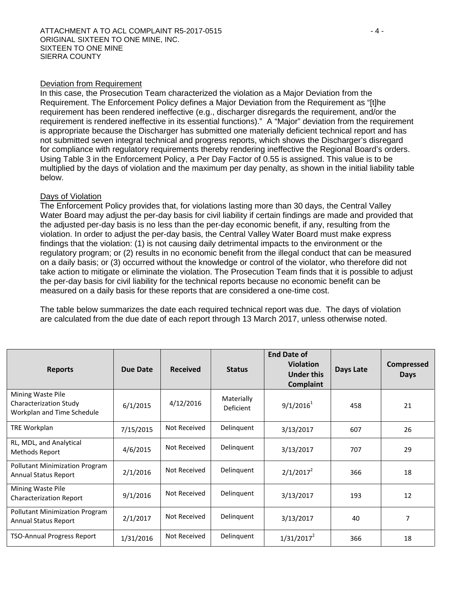### Deviation from Requirement

In this case, the Prosecution Team characterized the violation as a Major Deviation from the Requirement. The Enforcement Policy defines a Major Deviation from the Requirement as "[t]he requirement has been rendered ineffective (e.g., discharger disregards the requirement, and/or the requirement is rendered ineffective in its essential functions)." A "Major" deviation from the requirement is appropriate because the Discharger has submitted one materially deficient technical report and has not submitted seven integral technical and progress reports, which shows the Discharger's disregard for compliance with regulatory requirements thereby rendering ineffective the Regional Board's orders. Using Table 3 in the Enforcement Policy, a Per Day Factor of 0.55 is assigned. This value is to be multiplied by the days of violation and the maximum per day penalty, as shown in the initial liability table below.

### Days of Violation

The Enforcement Policy provides that, for violations lasting more than 30 days, the Central Valley Water Board may adjust the per-day basis for civil liability if certain findings are made and provided that the adjusted per-day basis is no less than the per-day economic benefit, if any, resulting from the violation. In order to adjust the per-day basis, the Central Valley Water Board must make express findings that the violation: (1) is not causing daily detrimental impacts to the environment or the regulatory program; or (2) results in no economic benefit from the illegal conduct that can be measured on a daily basis; or (3) occurred without the knowledge or control of the violator, who therefore did not take action to mitigate or eliminate the violation. The Prosecution Team finds that it is possible to adjust the per-day basis for civil liability for the technical reports because no economic benefit can be measured on a daily basis for these reports that are considered a one-time cost.

The table below summarizes the date each required technical report was due. The days of violation are calculated from the due date of each report through 13 March 2017, unless otherwise noted.

| <b>Reports</b>                                                            | Due Date  | <b>Received</b> | <b>Status</b>           | <b>End Date of</b><br><b>Violation</b><br><b>Under this</b><br><b>Complaint</b> | <b>Days Late</b> | <b>Compressed</b><br><b>Days</b> |
|---------------------------------------------------------------------------|-----------|-----------------|-------------------------|---------------------------------------------------------------------------------|------------------|----------------------------------|
| Mining Waste Pile<br>Characterization Study<br>Workplan and Time Schedule | 6/1/2015  | 4/12/2016       | Materially<br>Deficient | $9/1/2016^1$                                                                    | 458              | 21                               |
| TRE Workplan                                                              | 7/15/2015 | Not Received    | Delinquent              | 3/13/2017                                                                       | 607              | 26                               |
| RL, MDL, and Analytical<br>Methods Report                                 | 4/6/2015  | Not Received    | Delinquent              | 3/13/2017                                                                       | 707              | 29                               |
| <b>Pollutant Minimization Program</b><br><b>Annual Status Report</b>      | 2/1/2016  | Not Received    | Delinquent              | $2/1/2017^2$                                                                    | 366              | 18                               |
| Mining Waste Pile<br><b>Characterization Report</b>                       | 9/1/2016  | Not Received    | Delinquent              | 3/13/2017                                                                       | 193              | 12                               |
| <b>Pollutant Minimization Program</b><br><b>Annual Status Report</b>      | 2/1/2017  | Not Received    | Delinquent              | 3/13/2017                                                                       | 40               | 7                                |
| <b>TSO-Annual Progress Report</b>                                         | 1/31/2016 | Not Received    | Delinquent              | $1/31/2017^2$                                                                   | 366              | 18                               |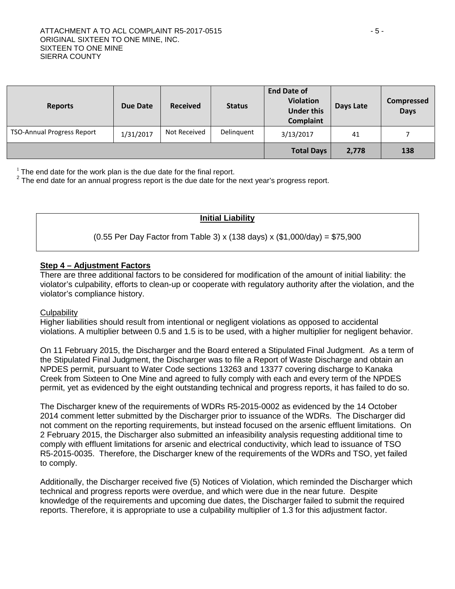| <b>Reports</b>                    | Due Date  | <b>Received</b> | <b>Status</b> | <b>End Date of</b><br><b>Violation</b><br><b>Under this</b><br>Complaint | Days Late | <b>Compressed</b><br><b>Days</b> |
|-----------------------------------|-----------|-----------------|---------------|--------------------------------------------------------------------------|-----------|----------------------------------|
| <b>TSO-Annual Progress Report</b> | 1/31/2017 | Not Received    | Delinquent    | 3/13/2017                                                                | 41        |                                  |
|                                   |           |                 |               | <b>Total Days</b>                                                        | 2,778     | 138                              |

 $1$  The end date for the work plan is the due date for the final report.

 $2$  The end date for an annual progress report is the due date for the next year's progress report.

# **Initial Liability**

### (0.55 Per Day Factor from Table 3) x (138 days) x (\$1,000/day) = \$75,900

### **Step 4 – Adjustment Factors**

There are three additional factors to be considered for modification of the amount of initial liability: the violator's culpability, efforts to clean-up or cooperate with regulatory authority after the violation, and the violator's compliance history.

### **Culpability**

Higher liabilities should result from intentional or negligent violations as opposed to accidental violations. A multiplier between 0.5 and 1.5 is to be used, with a higher multiplier for negligent behavior.

On 11 February 2015, the Discharger and the Board entered a Stipulated Final Judgment. As a term of the Stipulated Final Judgment, the Discharger was to file a Report of Waste Discharge and obtain an NPDES permit, pursuant to Water Code sections 13263 and 13377 covering discharge to Kanaka Creek from Sixteen to One Mine and agreed to fully comply with each and every term of the NPDES permit, yet as evidenced by the eight outstanding technical and progress reports, it has failed to do so.

The Discharger knew of the requirements of WDRs R5-2015-0002 as evidenced by the 14 October 2014 comment letter submitted by the Discharger prior to issuance of the WDRs. The Discharger did not comment on the reporting requirements, but instead focused on the arsenic effluent limitations. On 2 February 2015, the Discharger also submitted an infeasibility analysis requesting additional time to comply with effluent limitations for arsenic and electrical conductivity, which lead to issuance of TSO R5-2015-0035. Therefore, the Discharger knew of the requirements of the WDRs and TSO, yet failed to comply.

Additionally, the Discharger received five (5) Notices of Violation, which reminded the Discharger which technical and progress reports were overdue, and which were due in the near future. Despite knowledge of the requirements and upcoming due dates, the Discharger failed to submit the required reports. Therefore, it is appropriate to use a culpability multiplier of 1.3 for this adjustment factor.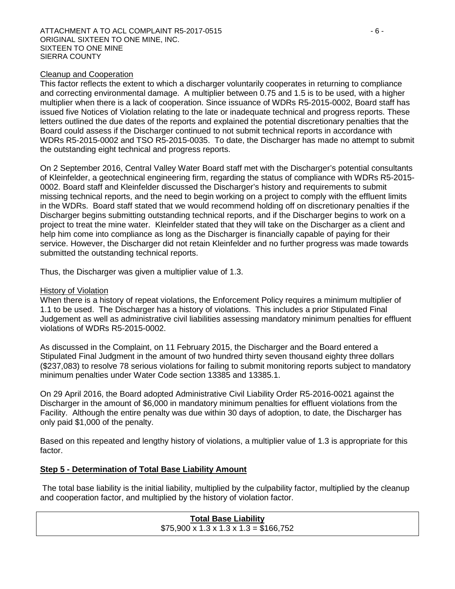### Cleanup and Cooperation

This factor reflects the extent to which a discharger voluntarily cooperates in returning to compliance and correcting environmental damage. A multiplier between 0.75 and 1.5 is to be used, with a higher multiplier when there is a lack of cooperation. Since issuance of WDRs R5-2015-0002, Board staff has issued five Notices of Violation relating to the late or inadequate technical and progress reports. These letters outlined the due dates of the reports and explained the potential discretionary penalties that the Board could assess if the Discharger continued to not submit technical reports in accordance with WDRs R5-2015-0002 and TSO R5-2015-0035. To date, the Discharger has made no attempt to submit the outstanding eight technical and progress reports.

On 2 September 2016, Central Valley Water Board staff met with the Discharger's potential consultants of Kleinfelder, a geotechnical engineering firm, regarding the status of compliance with WDRs R5-2015- 0002. Board staff and Kleinfelder discussed the Discharger's history and requirements to submit missing technical reports, and the need to begin working on a project to comply with the effluent limits in the WDRs. Board staff stated that we would recommend holding off on discretionary penalties if the Discharger begins submitting outstanding technical reports, and if the Discharger begins to work on a project to treat the mine water. Kleinfelder stated that they will take on the Discharger as a client and help him come into compliance as long as the Discharger is financially capable of paying for their service. However, the Discharger did not retain Kleinfelder and no further progress was made towards submitted the outstanding technical reports.

Thus, the Discharger was given a multiplier value of 1.3.

### History of Violation

When there is a history of repeat violations, the Enforcement Policy requires a minimum multiplier of 1.1 to be used. The Discharger has a history of violations. This includes a prior Stipulated Final Judgement as well as administrative civil liabilities assessing mandatory minimum penalties for effluent violations of WDRs R5-2015-0002.

As discussed in the Complaint, on 11 February 2015, the Discharger and the Board entered a Stipulated Final Judgment in the amount of two hundred thirty seven thousand eighty three dollars (\$237,083) to resolve 78 serious violations for failing to submit monitoring reports subject to mandatory minimum penalties under Water Code section 13385 and 13385.1.

On 29 April 2016, the Board adopted Administrative Civil Liability Order R5-2016-0021 against the Discharger in the amount of \$6,000 in mandatory minimum penalties for effluent violations from the Facility. Although the entire penalty was due within 30 days of adoption, to date, the Discharger has only paid \$1,000 of the penalty.

Based on this repeated and lengthy history of violations, a multiplier value of 1.3 is appropriate for this factor.

# **Step 5 - Determination of Total Base Liability Amount**

The total base liability is the initial liability, multiplied by the culpability factor, multiplied by the cleanup and cooperation factor, and multiplied by the history of violation factor.

# **Total Base Liability**   $$75,900 \times 1.3 \times 1.3 \times 1.3 = $166,752$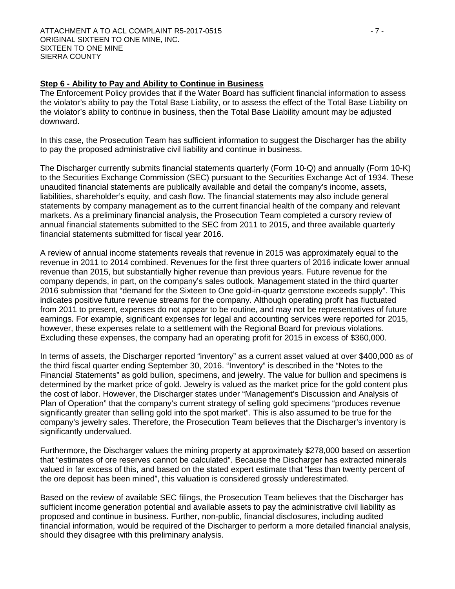### **Step 6 - Ability to Pay and Ability to Continue in Business**

The Enforcement Policy provides that if the Water Board has sufficient financial information to assess the violator's ability to pay the Total Base Liability, or to assess the effect of the Total Base Liability on the violator's ability to continue in business, then the Total Base Liability amount may be adjusted downward.

In this case, the Prosecution Team has sufficient information to suggest the Discharger has the ability to pay the proposed administrative civil liability and continue in business.

The Discharger currently submits financial statements quarterly (Form 10-Q) and annually (Form 10-K) to the Securities Exchange Commission (SEC) pursuant to the Securities Exchange Act of 1934. These unaudited financial statements are publically available and detail the company's income, assets, liabilities, shareholder's equity, and cash flow. The financial statements may also include general statements by company management as to the current financial health of the company and relevant markets. As a preliminary financial analysis, the Prosecution Team completed a cursory review of annual financial statements submitted to the SEC from 2011 to 2015, and three available quarterly financial statements submitted for fiscal year 2016.

A review of annual income statements reveals that revenue in 2015 was approximately equal to the revenue in 2011 to 2014 combined. Revenues for the first three quarters of 2016 indicate lower annual revenue than 2015, but substantially higher revenue than previous years. Future revenue for the company depends, in part, on the company's sales outlook. Management stated in the third quarter 2016 submission that "demand for the Sixteen to One gold-in-quartz gemstone exceeds supply". This indicates positive future revenue streams for the company. Although operating profit has fluctuated from 2011 to present, expenses do not appear to be routine, and may not be representatives of future earnings. For example, significant expenses for legal and accounting services were reported for 2015, however, these expenses relate to a settlement with the Regional Board for previous violations. Excluding these expenses, the company had an operating profit for 2015 in excess of \$360,000.

In terms of assets, the Discharger reported "inventory" as a current asset valued at over \$400,000 as of the third fiscal quarter ending September 30, 2016. "Inventory" is described in the "Notes to the Financial Statements" as gold bullion, specimens, and jewelry. The value for bullion and specimens is determined by the market price of gold. Jewelry is valued as the market price for the gold content plus the cost of labor. However, the Discharger states under "Management's Discussion and Analysis of Plan of Operation" that the company's current strategy of selling gold specimens "produces revenue significantly greater than selling gold into the spot market". This is also assumed to be true for the company's jewelry sales. Therefore, the Prosecution Team believes that the Discharger's inventory is significantly undervalued.

Furthermore, the Discharger values the mining property at approximately \$278,000 based on assertion that "estimates of ore reserves cannot be calculated". Because the Discharger has extracted minerals valued in far excess of this, and based on the stated expert estimate that "less than twenty percent of the ore deposit has been mined", this valuation is considered grossly underestimated.

Based on the review of available SEC filings, the Prosecution Team believes that the Discharger has sufficient income generation potential and available assets to pay the administrative civil liability as proposed and continue in business. Further, non-public, financial disclosures, including audited financial information, would be required of the Discharger to perform a more detailed financial analysis, should they disagree with this preliminary analysis.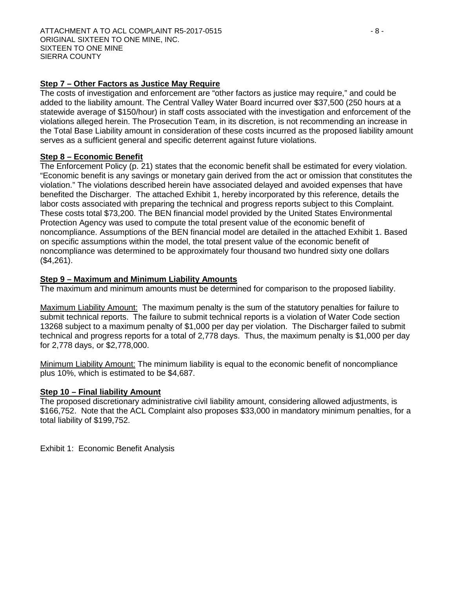# **Step 7 – Other Factors as Justice May Require**

The costs of investigation and enforcement are "other factors as justice may require," and could be added to the liability amount. The Central Valley Water Board incurred over \$37,500 (250 hours at a statewide average of \$150/hour) in staff costs associated with the investigation and enforcement of the violations alleged herein. The Prosecution Team, in its discretion, is not recommending an increase in the Total Base Liability amount in consideration of these costs incurred as the proposed liability amount serves as a sufficient general and specific deterrent against future violations.

# **Step 8 – Economic Benefit**

The Enforcement Policy (p. 21) states that the economic benefit shall be estimated for every violation. "Economic benefit is any savings or monetary gain derived from the act or omission that constitutes the violation." The violations described herein have associated delayed and avoided expenses that have benefited the Discharger. The attached Exhibit 1, hereby incorporated by this reference, details the labor costs associated with preparing the technical and progress reports subject to this Complaint. These costs total \$73,200. The BEN financial model provided by the United States Environmental Protection Agency was used to compute the total present value of the economic benefit of noncompliance. Assumptions of the BEN financial model are detailed in the attached Exhibit 1. Based on specific assumptions within the model, the total present value of the economic benefit of noncompliance was determined to be approximately four thousand two hundred sixty one dollars (\$4,261).

# **Step 9 – Maximum and Minimum Liability Amounts**

The maximum and minimum amounts must be determined for comparison to the proposed liability.

Maximum Liability Amount: The maximum penalty is the sum of the statutory penalties for failure to submit technical reports. The failure to submit technical reports is a violation of Water Code section 13268 subject to a maximum penalty of \$1,000 per day per violation. The Discharger failed to submit technical and progress reports for a total of 2,778 days. Thus, the maximum penalty is \$1,000 per day for 2,778 days, or \$2,778,000.

Minimum Liability Amount: The minimum liability is equal to the economic benefit of noncompliance plus 10%, which is estimated to be \$4,687.

# **Step 10 – Final liability Amount**

The proposed discretionary administrative civil liability amount, considering allowed adjustments, is \$166,752. Note that the ACL Complaint also proposes \$33,000 in mandatory minimum penalties, for a total liability of \$199,752.

Exhibit 1: Economic Benefit Analysis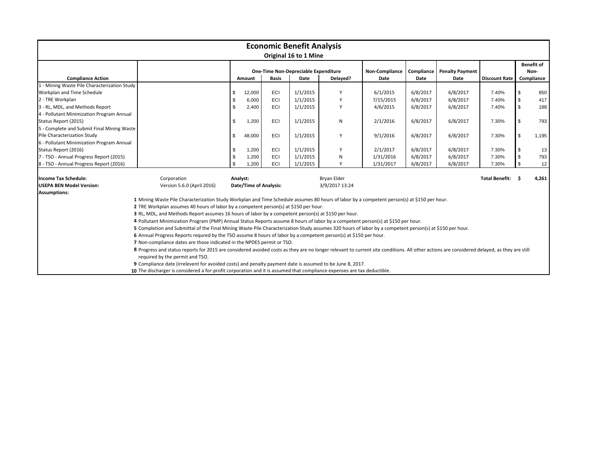| <b>Economic Benefit Analysis</b><br>Original 16 to 1 Mine                                                               |                                                                                                                                                                                                                               |    |                               |              |                                      |                |                       |            |                        |                       |     |                           |
|-------------------------------------------------------------------------------------------------------------------------|-------------------------------------------------------------------------------------------------------------------------------------------------------------------------------------------------------------------------------|----|-------------------------------|--------------|--------------------------------------|----------------|-----------------------|------------|------------------------|-----------------------|-----|---------------------------|
|                                                                                                                         |                                                                                                                                                                                                                               |    |                               |              | One-Time Non-Depreciable Expenditure |                | <b>Non-Compliance</b> | Compliance | <b>Penalty Payment</b> |                       |     | <b>Benefit of</b><br>Non- |
| <b>Compliance Action</b>                                                                                                |                                                                                                                                                                                                                               |    | Amount                        | <b>Basis</b> | Date                                 | Delayed?       | Date                  | Date       | Date                   | <b>Discount Rate</b>  |     | Compliance                |
| 1 - Mining Waste Pile Characterization Study                                                                            |                                                                                                                                                                                                                               |    |                               |              |                                      |                |                       |            |                        |                       |     |                           |
| Workplan and Time Schedule                                                                                              |                                                                                                                                                                                                                               | \$ | 12,000                        | ECI          | 1/1/2015                             |                | 6/1/2015              | 6/8/2017   | 6/8/2017               | 7.40%                 |     | 850                       |
| 2 - TRE Workplan                                                                                                        |                                                                                                                                                                                                                               | \$ | 6,000                         | ECI          | 1/1/2015                             |                | 7/15/2015             | 6/8/2017   | 6/8/2017               | 7.40%                 |     | 417                       |
| 3 - RL, MDL, and Methods Report                                                                                         |                                                                                                                                                                                                                               | \$ | 2,400                         | ECI          | 1/1/2015                             | Y              | 4/6/2015              | 6/8/2017   | 6/8/2017               | 7.40%                 | \$  | 188                       |
| 4 - Pollutant Minimization Program Annual                                                                               |                                                                                                                                                                                                                               |    |                               |              |                                      |                |                       |            |                        |                       |     |                           |
| Status Report (2015)                                                                                                    |                                                                                                                                                                                                                               | \$ | 1,200                         | ECI          | 1/1/2015                             | N              | 2/1/2016              | 6/8/2017   | 6/8/2017               | 7.30%                 |     | 793                       |
| 5 - Complete and Submit Final Mining Waste                                                                              |                                                                                                                                                                                                                               |    |                               |              |                                      |                |                       |            |                        |                       |     |                           |
| Pile Characterization Study                                                                                             |                                                                                                                                                                                                                               | \$ | 48,000                        | ECI          | 1/1/2015                             | Υ              | 9/1/2016              | 6/8/2017   | 6/8/2017               | 7.30%                 | -\$ | 1,195                     |
| 6 - Pollutant Minimization Program Annual                                                                               |                                                                                                                                                                                                                               |    |                               |              |                                      |                |                       |            |                        |                       |     |                           |
| Status Report (2016)                                                                                                    |                                                                                                                                                                                                                               | \$ | 1,200                         | ECI          | 1/1/2015                             | Y              | 2/1/2017              | 6/8/2017   | 6/8/2017               | 7.30%                 |     | 13                        |
| 7 - TSO - Annual Progress Report (2015)                                                                                 |                                                                                                                                                                                                                               | \$ | 1,200                         | ECI          | 1/1/2015                             | N              | 1/31/2016             | 6/8/2017   | 6/8/2017               | 7.30%                 |     | 793                       |
| 8 - TSO - Annual Progress Report (2016)                                                                                 |                                                                                                                                                                                                                               | \$ | 1.200                         | ECI          | 1/1/2015                             | Y              | 1/31/2017             | 6/8/2017   | 6/8/2017               | 7.30%                 |     | 12                        |
| <b>Income Tax Schedule:</b>                                                                                             | Corporation                                                                                                                                                                                                                   |    | Analyst:                      |              |                                      | Bryan Elder    |                       |            |                        | <b>Total Benefit:</b> |     | 4,261                     |
| <b>USEPA BEN Model Version:</b>                                                                                         | Version 5.6.0 (April 2016)                                                                                                                                                                                                    |    | <b>Date/Time of Analysis:</b> |              |                                      | 3/9/2017 13:24 |                       |            |                        |                       |     |                           |
| <b>Assumptions:</b>                                                                                                     |                                                                                                                                                                                                                               |    |                               |              |                                      |                |                       |            |                        |                       |     |                           |
|                                                                                                                         | 1 Mining Waste Pile Characterization Study Workplan and Time Schedule assumes 80 hours of labor by a competent person(s) at \$150 per hour.                                                                                   |    |                               |              |                                      |                |                       |            |                        |                       |     |                           |
|                                                                                                                         | 2 TRE Workplan assumes 40 hours of labor by a competent person(s) at \$150 per hour.                                                                                                                                          |    |                               |              |                                      |                |                       |            |                        |                       |     |                           |
|                                                                                                                         | 3 RL, MDL, and Methods Report assumes 16 hours of labor by a competent person(s) at \$150 per hour.                                                                                                                           |    |                               |              |                                      |                |                       |            |                        |                       |     |                           |
|                                                                                                                         | 4 Pollutant Minimization Program (PMP) Annual Status Reports assume 8 hours of labor by a competent person(s) at \$150 per hour.                                                                                              |    |                               |              |                                      |                |                       |            |                        |                       |     |                           |
|                                                                                                                         | 5 Completion and Submittal of the Final Mining Waste Pile Characterization Study assumes 320 hours of labor by a competent person(s) at \$150 per hour.                                                                       |    |                               |              |                                      |                |                       |            |                        |                       |     |                           |
|                                                                                                                         | 6 Annual Progress Reports requred by the TSO assume 8 hours of labor by a competent person(s) at \$150 per hour.                                                                                                              |    |                               |              |                                      |                |                       |            |                        |                       |     |                           |
|                                                                                                                         | 7 Non-compliance dates are those indicated in the NPDES permit or TSO.                                                                                                                                                        |    |                               |              |                                      |                |                       |            |                        |                       |     |                           |
|                                                                                                                         | 8 Progress and status reports for 2015 are considered avoided costs as they are no longer relevant to current site conditions. All other actions are considered delayed, as they are still<br>required by the permit and TSO. |    |                               |              |                                      |                |                       |            |                        |                       |     |                           |
|                                                                                                                         | 9 Compliance date (irrelevent for avoided costs) and penalty payment date is assumed to be June 8, 2017.                                                                                                                      |    |                               |              |                                      |                |                       |            |                        |                       |     |                           |
| 10 The discharger is considered a for-profit corporation and it is assumed that compliance expenses are tax deductible. |                                                                                                                                                                                                                               |    |                               |              |                                      |                |                       |            |                        |                       |     |                           |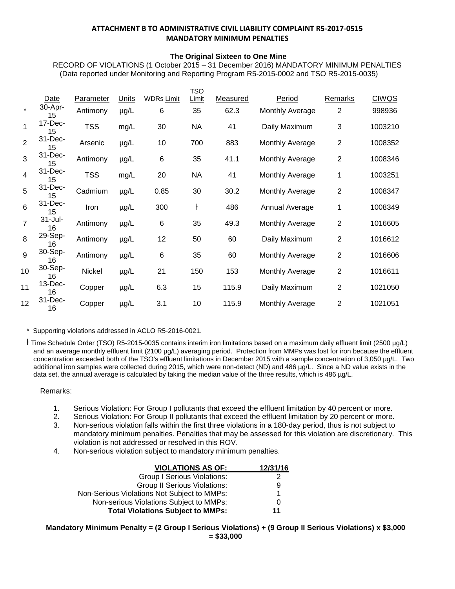#### **ATTACHMENT B TO ADMINISTRATIVE CIVIL LIABILITY COMPLAINT R5-2017-0515 MANDATORY MINIMUM PENALTIES**

#### **The Original Sixteen to One Mine**

RECORD OF VIOLATIONS (1 October 2015 – 31 December 2016) MANDATORY MINIMUM PENALTIES (Data reported under Monitoring and Reporting Program R5-2015-0002 and TSO R5-2015-0035)

|                |                   |                  |              |                   | TSO       |          |                 |                |              |
|----------------|-------------------|------------------|--------------|-------------------|-----------|----------|-----------------|----------------|--------------|
|                | Date              | <b>Parameter</b> | <b>Units</b> | <b>WDRs Limit</b> | Limit     | Measured | Period          | <b>Remarks</b> | <b>CIWQS</b> |
| $\star$        | 30-Apr-<br>15     | Antimony         | $\mu$ g/L    | 6                 | 35        | 62.3     | Monthly Average | $\overline{2}$ | 998936       |
| 1              | 17-Dec-<br>15     | <b>TSS</b>       | mg/L         | 30                | <b>NA</b> | 41       | Daily Maximum   | 3              | 1003210      |
| $\overline{2}$ | 31-Dec-<br>15     | Arsenic          | $\mu$ g/L    | 10                | 700       | 883      | Monthly Average | $\overline{2}$ | 1008352      |
| 3              | 31-Dec-<br>15     | Antimony         | $\mu$ g/L    | 6                 | 35        | 41.1     | Monthly Average | $\overline{2}$ | 1008346      |
| 4              | 31-Dec-<br>15     | <b>TSS</b>       | mg/L         | 20                | <b>NA</b> | 41       | Monthly Average | 1              | 1003251      |
| 5              | 31-Dec-<br>15     | Cadmium          | $\mu$ g/L    | 0.85              | 30        | 30.2     | Monthly Average | $\overline{2}$ | 1008347      |
| 6              | 31-Dec-<br>15     | Iron             | $\mu$ g/L    | 300               | ł         | 486      | Annual Average  | 1              | 1008349      |
| $\overline{7}$ | $31 -$ Jul-<br>16 | Antimony         | µg/L         | 6                 | 35        | 49.3     | Monthly Average | $\overline{2}$ | 1016605      |
| 8              | 29-Sep-<br>16     | Antimony         | $\mu$ g/L    | 12                | 50        | 60       | Daily Maximum   | $\overline{2}$ | 1016612      |
| 9              | 30-Sep-<br>16     | Antimony         | $\mu$ g/L    | 6                 | 35        | 60       | Monthly Average | $\overline{2}$ | 1016606      |
| 10             | 30-Sep-<br>16     | Nickel           | µg/L         | 21                | 150       | 153      | Monthly Average | $\overline{2}$ | 1016611      |
| 11             | 13-Dec-<br>16     | Copper           | $\mu$ g/L    | 6.3               | 15        | 115.9    | Daily Maximum   | $\overline{2}$ | 1021050      |
| 12             | 31-Dec-<br>16     | Copper           | $\mu$ g/L    | 3.1               | 10        | 115.9    | Monthly Average | $\overline{2}$ | 1021051      |
|                |                   |                  |              |                   |           |          |                 |                |              |

\* Supporting violations addressed in ACLO R5-2016-0021.

ƚ Time Schedule Order (TSO) R5-2015-0035 contains interim iron limitations based on a maximum daily effluent limit (2500 µg/L) and an average monthly effluent limit (2100 µg/L) averaging period. Protection from MMPs was lost for iron because the effluent concentration exceeded both of the TSO's effluent limitations in December 2015 with a sample concentration of 3,050 µg/L. Two additional iron samples were collected during 2015, which were non-detect (ND) and 486 µg/L. Since a ND value exists in the data set, the annual average is calculated by taking the median value of the three results, which is 486 µg/L.

#### Remarks:

- 1. Serious Violation: For Group I pollutants that exceed the effluent limitation by 40 percent or more.
- 2. Serious Violation: For Group II pollutants that exceed the effluent limitation by 20 percent or more.
- 3. Non-serious violation falls within the first three violations in a 180-day period, thus is not subject to mandatory minimum penalties. Penalties that may be assessed for this violation are discretionary. This violation is not addressed or resolved in this ROV.
- 4. Non-serious violation subject to mandatory minimum penalties.

| <b>VIOLATIONS AS OF:</b>                    | 12/31/16 |
|---------------------------------------------|----------|
| <b>Group I Serious Violations:</b>          |          |
| <b>Group II Serious Violations:</b>         | 9        |
| Non-Serious Violations Not Subject to MMPs: |          |
| Non-serious Violations Subject to MMPs:     | O        |
| <b>Total Violations Subject to MMPs:</b>    | 11       |

**Mandatory Minimum Penalty = (2 Group I Serious Violations) + (9 Group II Serious Violations) x \$3,000 = \$33,000**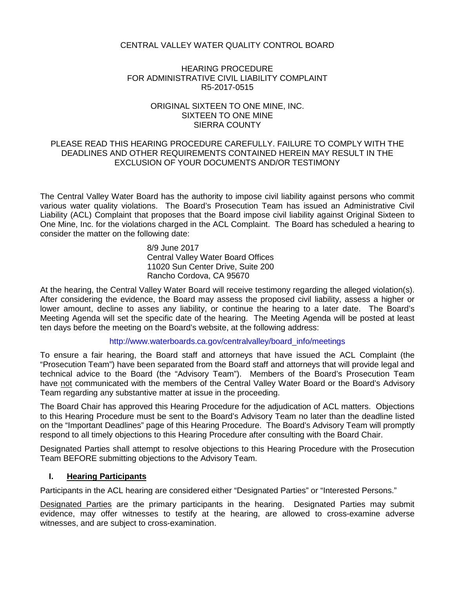# CENTRAL VALLEY WATER QUALITY CONTROL BOARD

# HEARING PROCEDURE FOR ADMINISTRATIVE CIVIL LIABILITY COMPLAINT R5-2017-0515

### ORIGINAL SIXTEEN TO ONE MINE, INC. SIXTEEN TO ONE MINE SIERRA COUNTY

## PLEASE READ THIS HEARING PROCEDURE CAREFULLY. FAILURE TO COMPLY WITH THE DEADLINES AND OTHER REQUIREMENTS CONTAINED HEREIN MAY RESULT IN THE EXCLUSION OF YOUR DOCUMENTS AND/OR TESTIMONY

The Central Valley Water Board has the authority to impose civil liability against persons who commit various water quality violations. The Board's Prosecution Team has issued an Administrative Civil Liability (ACL) Complaint that proposes that the Board impose civil liability against Original Sixteen to One Mine, Inc. for the violations charged in the ACL Complaint. The Board has scheduled a hearing to consider the matter on the following date:

> 8/9 June 2017 Central Valley Water Board Offices 11020 Sun Center Drive, Suite 200 Rancho Cordova, CA 95670

At the hearing, the Central Valley Water Board will receive testimony regarding the alleged violation(s). After considering the evidence, the Board may assess the proposed civil liability, assess a higher or lower amount, decline to asses any liability, or continue the hearing to a later date. The Board's Meeting Agenda will set the specific date of the hearing. The Meeting Agenda will be posted at least ten days before the meeting on the Board's website, at the following address:

### [http://www.waterboards.ca.gov/centralvalley/board\\_info/meetings](http://www.waterboards.ca.gov/centralvalley/board_info/meetings)

To ensure a fair hearing, the Board staff and attorneys that have issued the ACL Complaint (the "Prosecution Team") have been separated from the Board staff and attorneys that will provide legal and technical advice to the Board (the "Advisory Team"). Members of the Board's Prosecution Team have not communicated with the members of the Central Valley Water Board or the Board's Advisory Team regarding any substantive matter at issue in the proceeding.

The Board Chair has approved this Hearing Procedure for the adjudication of ACL matters. Objections to this Hearing Procedure must be sent to the Board's Advisory Team no later than the deadline listed on the "Important Deadlines" page of this Hearing Procedure. The Board's Advisory Team will promptly respond to all timely objections to this Hearing Procedure after consulting with the Board Chair.

Designated Parties shall attempt to resolve objections to this Hearing Procedure with the Prosecution Team BEFORE submitting objections to the Advisory Team.

# **I. Hearing Participants**

Participants in the ACL hearing are considered either "Designated Parties" or "Interested Persons."

Designated Parties are the primary participants in the hearing. Designated Parties may submit evidence, may offer witnesses to testify at the hearing, are allowed to cross-examine adverse witnesses, and are subject to cross-examination.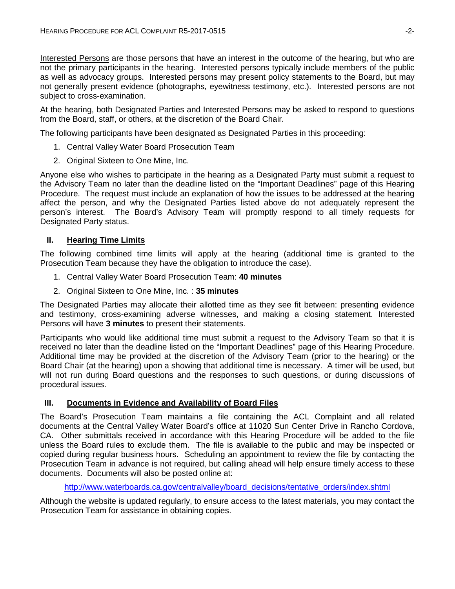Interested Persons are those persons that have an interest in the outcome of the hearing, but who are not the primary participants in the hearing. Interested persons typically include members of the public as well as advocacy groups. Interested persons may present policy statements to the Board, but may not generally present evidence (photographs, eyewitness testimony, etc.). Interested persons are not subject to cross-examination.

At the hearing, both Designated Parties and Interested Persons may be asked to respond to questions from the Board, staff, or others, at the discretion of the Board Chair.

The following participants have been designated as Designated Parties in this proceeding:

- 1. Central Valley Water Board Prosecution Team
- 2. Original Sixteen to One Mine, Inc.

Anyone else who wishes to participate in the hearing as a Designated Party must submit a request to the Advisory Team no later than the deadline listed on the "Important Deadlines" page of this Hearing Procedure. The request must include an explanation of how the issues to be addressed at the hearing affect the person, and why the Designated Parties listed above do not adequately represent the person's interest. The Board's Advisory Team will promptly respond to all timely requests for Designated Party status.

### **II. Hearing Time Limits**

The following combined time limits will apply at the hearing (additional time is granted to the Prosecution Team because they have the obligation to introduce the case).

- 1. Central Valley Water Board Prosecution Team: **40 minutes**
- 2. Original Sixteen to One Mine, Inc. : **35 minutes**

The Designated Parties may allocate their allotted time as they see fit between: presenting evidence and testimony, cross-examining adverse witnesses, and making a closing statement. Interested Persons will have **3 minutes** to present their statements.

Participants who would like additional time must submit a request to the Advisory Team so that it is received no later than the deadline listed on the "Important Deadlines" page of this Hearing Procedure. Additional time may be provided at the discretion of the Advisory Team (prior to the hearing) or the Board Chair (at the hearing) upon a showing that additional time is necessary. A timer will be used, but will not run during Board questions and the responses to such questions, or during discussions of procedural issues.

# **III. Documents in Evidence and Availability of Board Files**

The Board's Prosecution Team maintains a file containing the ACL Complaint and all related documents at the Central Valley Water Board's office at 11020 Sun Center Drive in Rancho Cordova, CA. Other submittals received in accordance with this Hearing Procedure will be added to the file unless the Board rules to exclude them. The file is available to the public and may be inspected or copied during regular business hours. Scheduling an appointment to review the file by contacting the Prosecution Team in advance is not required, but calling ahead will help ensure timely access to these documents. Documents will also be posted online at:

[http://www.waterboards.ca.gov/centralvalley/board\\_decisions/tentative\\_orders/index.shtml](http://www.waterboards.ca.gov/centralvalley/board_decisions/tentative_orders/index.shtml)

Although the website is updated regularly, to ensure access to the latest materials, you may contact the Prosecution Team for assistance in obtaining copies.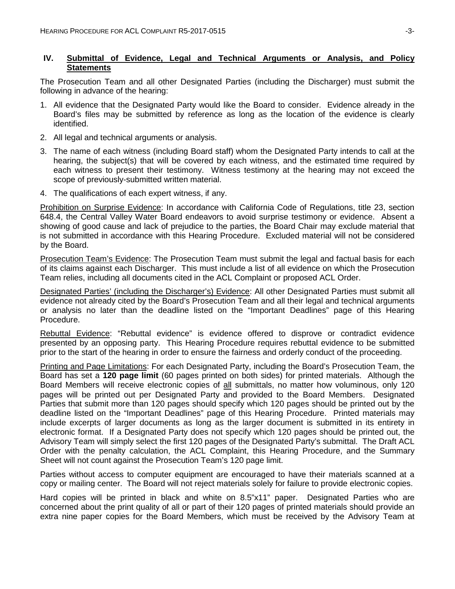# **IV. Submittal of Evidence, Legal and Technical Arguments or Analysis, and Policy Statements**

The Prosecution Team and all other Designated Parties (including the Discharger) must submit the following in advance of the hearing:

- 1. All evidence that the Designated Party would like the Board to consider. Evidence already in the Board's files may be submitted by reference as long as the location of the evidence is clearly identified.
- 2. All legal and technical arguments or analysis.
- 3. The name of each witness (including Board staff) whom the Designated Party intends to call at the hearing, the subject(s) that will be covered by each witness, and the estimated time required by each witness to present their testimony. Witness testimony at the hearing may not exceed the scope of previously-submitted written material.
- 4. The qualifications of each expert witness, if any.

Prohibition on Surprise Evidence: In accordance with California Code of Regulations, title 23, section 648.4, the Central Valley Water Board endeavors to avoid surprise testimony or evidence. Absent a showing of good cause and lack of prejudice to the parties, the Board Chair may exclude material that is not submitted in accordance with this Hearing Procedure. Excluded material will not be considered by the Board.

Prosecution Team's Evidence: The Prosecution Team must submit the legal and factual basis for each of its claims against each Discharger. This must include a list of all evidence on which the Prosecution Team relies, including all documents cited in the ACL Complaint or proposed ACL Order.

Designated Parties' (including the Discharger's) Evidence: All other Designated Parties must submit all evidence not already cited by the Board's Prosecution Team and all their legal and technical arguments or analysis no later than the deadline listed on the "Important Deadlines" page of this Hearing Procedure.

Rebuttal Evidence: "Rebuttal evidence" is evidence offered to disprove or contradict evidence presented by an opposing party. This Hearing Procedure requires rebuttal evidence to be submitted prior to the start of the hearing in order to ensure the fairness and orderly conduct of the proceeding.

Printing and Page Limitations: For each Designated Party, including the Board's Prosecution Team, the Board has set a **120 page limit** (60 pages printed on both sides) for printed materials. Although the Board Members will receive electronic copies of all submittals, no matter how voluminous, only 120 pages will be printed out per Designated Party and provided to the Board Members. Designated Parties that submit more than 120 pages should specify which 120 pages should be printed out by the deadline listed on the "Important Deadlines" page of this Hearing Procedure. Printed materials may include excerpts of larger documents as long as the larger document is submitted in its entirety in electronic format. If a Designated Party does not specify which 120 pages should be printed out, the Advisory Team will simply select the first 120 pages of the Designated Party's submittal. The Draft ACL Order with the penalty calculation, the ACL Complaint, this Hearing Procedure, and the Summary Sheet will not count against the Prosecution Team's 120 page limit.

Parties without access to computer equipment are encouraged to have their materials scanned at a copy or mailing center. The Board will not reject materials solely for failure to provide electronic copies.

Hard copies will be printed in black and white on 8.5"x11" paper. Designated Parties who are concerned about the print quality of all or part of their 120 pages of printed materials should provide an extra nine paper copies for the Board Members, which must be received by the Advisory Team at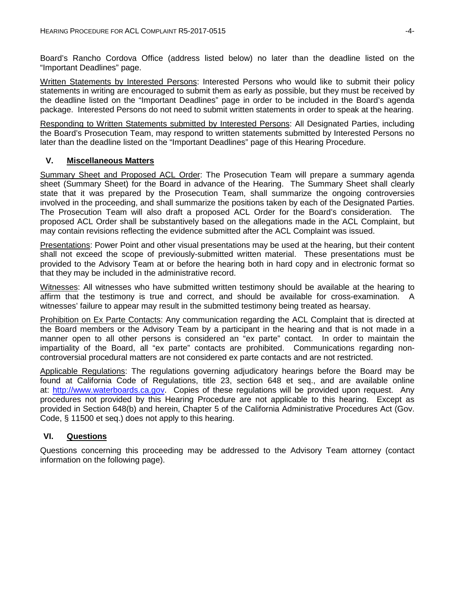Board's Rancho Cordova Office (address listed below) no later than the deadline listed on the "Important Deadlines" page.

Written Statements by Interested Persons: Interested Persons who would like to submit their policy statements in writing are encouraged to submit them as early as possible, but they must be received by the deadline listed on the "Important Deadlines" page in order to be included in the Board's agenda package. Interested Persons do not need to submit written statements in order to speak at the hearing.

Responding to Written Statements submitted by Interested Persons: All Designated Parties, including the Board's Prosecution Team, may respond to written statements submitted by Interested Persons no later than the deadline listed on the "Important Deadlines" page of this Hearing Procedure.

## **V. Miscellaneous Matters**

Summary Sheet and Proposed ACL Order: The Prosecution Team will prepare a summary agenda sheet (Summary Sheet) for the Board in advance of the Hearing. The Summary Sheet shall clearly state that it was prepared by the Prosecution Team, shall summarize the ongoing controversies involved in the proceeding, and shall summarize the positions taken by each of the Designated Parties. The Prosecution Team will also draft a proposed ACL Order for the Board's consideration. The proposed ACL Order shall be substantively based on the allegations made in the ACL Complaint, but may contain revisions reflecting the evidence submitted after the ACL Complaint was issued.

Presentations: Power Point and other visual presentations may be used at the hearing, but their content shall not exceed the scope of previously-submitted written material. These presentations must be provided to the Advisory Team at or before the hearing both in hard copy and in electronic format so that they may be included in the administrative record.

Witnesses: All witnesses who have submitted written testimony should be available at the hearing to affirm that the testimony is true and correct, and should be available for cross-examination. A witnesses' failure to appear may result in the submitted testimony being treated as hearsay.

Prohibition on Ex Parte Contacts: Any communication regarding the ACL Complaint that is directed at the Board members or the Advisory Team by a participant in the hearing and that is not made in a manner open to all other persons is considered an "ex parte" contact. In order to maintain the impartiality of the Board, all "ex parte" contacts are prohibited. Communications regarding noncontroversial procedural matters are not considered ex parte contacts and are not restricted.

Applicable Regulations: The regulations governing adjudicatory hearings before the Board may be found at California Code of Regulations, title 23, section 648 et seq., and are available online at: [http://www.waterboards.ca.gov.](http://www.waterboards.ca.gov/) Copies of these regulations will be provided upon request. Any procedures not provided by this Hearing Procedure are not applicable to this hearing. Except as provided in Section 648(b) and herein, Chapter 5 of the California Administrative Procedures Act (Gov. Code, § 11500 et seq.) does not apply to this hearing.

# **VI. Questions**

Questions concerning this proceeding may be addressed to the Advisory Team attorney (contact information on the following page).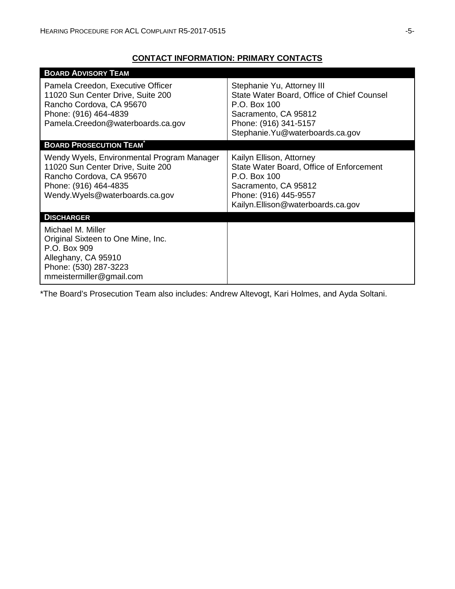# **CONTACT INFORMATION: PRIMARY CONTACTS**

| <b>BOARD ADVISORY TEAM</b>                                                                                                                                              |                                                                                                                                                                               |
|-------------------------------------------------------------------------------------------------------------------------------------------------------------------------|-------------------------------------------------------------------------------------------------------------------------------------------------------------------------------|
| Pamela Creedon, Executive Officer<br>11020 Sun Center Drive, Suite 200<br>Rancho Cordova, CA 95670<br>Phone: (916) 464-4839<br>Pamela.Creedon@waterboards.ca.gov        | Stephanie Yu, Attorney III<br>State Water Board, Office of Chief Counsel<br>P.O. Box 100<br>Sacramento, CA 95812<br>Phone: (916) 341-5157<br>Stephanie. Yu@waterboards.ca.gov |
| <b>BOARD PROSECUTION TEAM</b>                                                                                                                                           |                                                                                                                                                                               |
| Wendy Wyels, Environmental Program Manager<br>11020 Sun Center Drive, Suite 200<br>Rancho Cordova, CA 95670<br>Phone: (916) 464-4835<br>Wendy. Wyels@waterboards.ca.gov | Kailyn Ellison, Attorney<br>State Water Board, Office of Enforcement<br>P.O. Box 100<br>Sacramento, CA 95812<br>Phone: (916) 445-9557<br>Kailyn.Ellison@waterboards.ca.gov    |
| <b>DISCHARGER</b>                                                                                                                                                       |                                                                                                                                                                               |
| Michael M. Miller<br>Original Sixteen to One Mine, Inc.<br>P.O. Box 909<br>Alleghany, CA 95910<br>Phone: (530) 287-3223<br>mmeistermiller@gmail.com                     |                                                                                                                                                                               |

\*The Board's Prosecution Team also includes: Andrew Altevogt, Kari Holmes, and Ayda Soltani.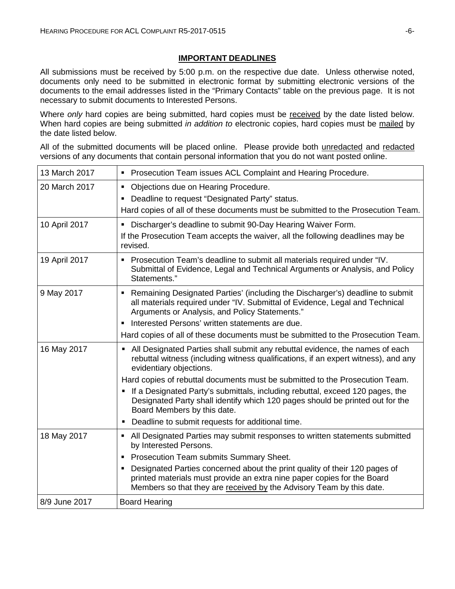# **IMPORTANT DEADLINES**

All submissions must be received by 5:00 p.m. on the respective due date. Unless otherwise noted, documents only need to be submitted in electronic format by submitting electronic versions of the documents to the email addresses listed in the "Primary Contacts" table on the previous page. It is not necessary to submit documents to Interested Persons.

Where *only* hard copies are being submitted, hard copies must be received by the date listed below. When hard copies are being submitted *in addition to* electronic copies, hard copies must be mailed by the date listed below.

All of the submitted documents will be placed online. Please provide both unredacted and redacted versions of any documents that contain personal information that you do not want posted online.

| 13 March 2017 | • Prosecution Team issues ACL Complaint and Hearing Procedure.                                                                                                                                                                     |
|---------------|------------------------------------------------------------------------------------------------------------------------------------------------------------------------------------------------------------------------------------|
| 20 March 2017 | • Objections due on Hearing Procedure.                                                                                                                                                                                             |
|               | Deadline to request "Designated Party" status.<br>٠                                                                                                                                                                                |
|               | Hard copies of all of these documents must be submitted to the Prosecution Team.                                                                                                                                                   |
| 10 April 2017 | • Discharger's deadline to submit 90-Day Hearing Waiver Form.                                                                                                                                                                      |
|               | If the Prosecution Team accepts the waiver, all the following deadlines may be<br>revised.                                                                                                                                         |
| 19 April 2017 | • Prosecution Team's deadline to submit all materials required under "IV.<br>Submittal of Evidence, Legal and Technical Arguments or Analysis, and Policy<br>Statements."                                                          |
| 9 May 2017    | Remaining Designated Parties' (including the Discharger's) deadline to submit<br>٠<br>all materials required under "IV. Submittal of Evidence, Legal and Technical<br>Arguments or Analysis, and Policy Statements."               |
|               | Interested Persons' written statements are due.<br>٠                                                                                                                                                                               |
|               | Hard copies of all of these documents must be submitted to the Prosecution Team.                                                                                                                                                   |
| 16 May 2017   | • All Designated Parties shall submit any rebuttal evidence, the names of each<br>rebuttal witness (including witness qualifications, if an expert witness), and any<br>evidentiary objections.                                    |
|               | Hard copies of rebuttal documents must be submitted to the Prosecution Team.                                                                                                                                                       |
|               | If a Designated Party's submittals, including rebuttal, exceed 120 pages, the<br>Designated Party shall identify which 120 pages should be printed out for the<br>Board Members by this date.                                      |
|               | Deadline to submit requests for additional time.                                                                                                                                                                                   |
| 18 May 2017   | All Designated Parties may submit responses to written statements submitted<br>٠<br>by Interested Persons.                                                                                                                         |
|               | <b>Prosecution Team submits Summary Sheet.</b><br>٠                                                                                                                                                                                |
|               | Designated Parties concerned about the print quality of their 120 pages of<br>Е<br>printed materials must provide an extra nine paper copies for the Board<br>Members so that they are received by the Advisory Team by this date. |
| 8/9 June 2017 | <b>Board Hearing</b>                                                                                                                                                                                                               |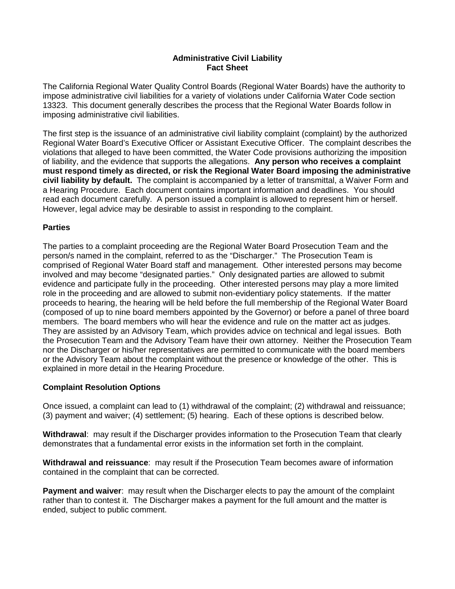## **Administrative Civil Liability Fact Sheet**

The California Regional Water Quality Control Boards (Regional Water Boards) have the authority to impose administrative civil liabilities for a variety of violations under California Water Code section 13323. This document generally describes the process that the Regional Water Boards follow in imposing administrative civil liabilities.

The first step is the issuance of an administrative civil liability complaint (complaint) by the authorized Regional Water Board's Executive Officer or Assistant Executive Officer. The complaint describes the violations that alleged to have been committed, the Water Code provisions authorizing the imposition of liability, and the evidence that supports the allegations. **Any person who receives a complaint must respond timely as directed, or risk the Regional Water Board imposing the administrative civil liability by default.** The complaint is accompanied by a letter of transmittal, a Waiver Form and a Hearing Procedure. Each document contains important information and deadlines. You should read each document carefully. A person issued a complaint is allowed to represent him or herself. However, legal advice may be desirable to assist in responding to the complaint.

# **Parties**

The parties to a complaint proceeding are the Regional Water Board Prosecution Team and the person/s named in the complaint, referred to as the "Discharger." The Prosecution Team is comprised of Regional Water Board staff and management. Other interested persons may become involved and may become "designated parties." Only designated parties are allowed to submit evidence and participate fully in the proceeding. Other interested persons may play a more limited role in the proceeding and are allowed to submit non-evidentiary policy statements. If the matter proceeds to hearing, the hearing will be held before the full membership of the Regional Water Board (composed of up to nine board members appointed by the Governor) or before a panel of three board members. The board members who will hear the evidence and rule on the matter act as judges. They are assisted by an Advisory Team, which provides advice on technical and legal issues. Both the Prosecution Team and the Advisory Team have their own attorney. Neither the Prosecution Team nor the Discharger or his/her representatives are permitted to communicate with the board members or the Advisory Team about the complaint without the presence or knowledge of the other. This is explained in more detail in the Hearing Procedure.

# **Complaint Resolution Options**

Once issued, a complaint can lead to (1) withdrawal of the complaint; (2) withdrawal and reissuance; (3) payment and waiver; (4) settlement; (5) hearing. Each of these options is described below.

**Withdrawal**: may result if the Discharger provides information to the Prosecution Team that clearly demonstrates that a fundamental error exists in the information set forth in the complaint.

**Withdrawal and reissuance**: may result if the Prosecution Team becomes aware of information contained in the complaint that can be corrected.

**Payment and waiver**: may result when the Discharger elects to pay the amount of the complaint rather than to contest it. The Discharger makes a payment for the full amount and the matter is ended, subject to public comment.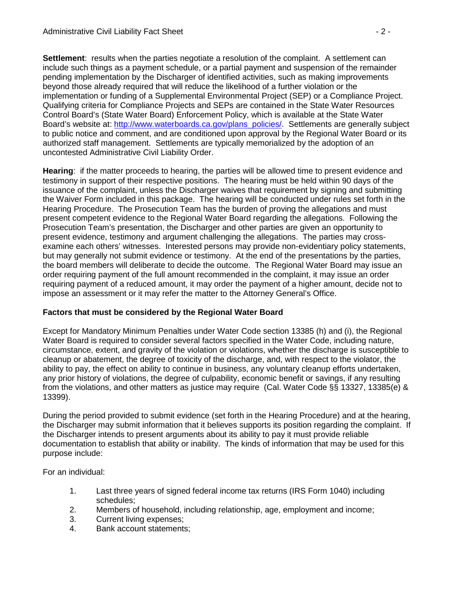**Settlement:** results when the parties negotiate a resolution of the complaint. A settlement can include such things as a payment schedule, or a partial payment and suspension of the remainder pending implementation by the Discharger of identified activities, such as making improvements beyond those already required that will reduce the likelihood of a further violation or the implementation or funding of a Supplemental Environmental Project (SEP) or a Compliance Project. Qualifying criteria for Compliance Projects and SEPs are contained in the State Water Resources Control Board's (State Water Board) Enforcement Policy, which is available at the State Water Board's website at: [http://www.waterboards.ca.gov/plans\\_policies/.](http://www.waterboards.ca.gov/plans_policies/) Settlements are generally subject to public notice and comment, and are conditioned upon approval by the Regional Water Board or its authorized staff management. Settlements are typically memorialized by the adoption of an uncontested Administrative Civil Liability Order.

**Hearing**: if the matter proceeds to hearing, the parties will be allowed time to present evidence and testimony in support of their respective positions. The hearing must be held within 90 days of the issuance of the complaint, unless the Discharger waives that requirement by signing and submitting the Waiver Form included in this package. The hearing will be conducted under rules set forth in the Hearing Procedure. The Prosecution Team has the burden of proving the allegations and must present competent evidence to the Regional Water Board regarding the allegations. Following the Prosecution Team's presentation, the Discharger and other parties are given an opportunity to present evidence, testimony and argument challenging the allegations. The parties may crossexamine each others' witnesses. Interested persons may provide non-evidentiary policy statements, but may generally not submit evidence or testimony. At the end of the presentations by the parties, the board members will deliberate to decide the outcome. The Regional Water Board may issue an order requiring payment of the full amount recommended in the complaint, it may issue an order requiring payment of a reduced amount, it may order the payment of a higher amount, decide not to impose an assessment or it may refer the matter to the Attorney General's Office.

# **Factors that must be considered by the Regional Water Board**

Except for Mandatory Minimum Penalties under Water Code section 13385 (h) and (i), the Regional Water Board is required to consider several factors specified in the Water Code, including nature, circumstance, extent, and gravity of the violation or violations, whether the discharge is susceptible to cleanup or abatement, the degree of toxicity of the discharge, and, with respect to the violator, the ability to pay, the effect on ability to continue in business, any voluntary cleanup efforts undertaken, any prior history of violations, the degree of culpability, economic benefit or savings, if any resulting from the violations, and other matters as justice may require (Cal. Water Code §§ 13327, 13385(e) & 13399).

During the period provided to submit evidence (set forth in the Hearing Procedure) and at the hearing, the Discharger may submit information that it believes supports its position regarding the complaint. If the Discharger intends to present arguments about its ability to pay it must provide reliable documentation to establish that ability or inability. The kinds of information that may be used for this purpose include:

For an individual:

- 1. Last three years of signed federal income tax returns (IRS Form 1040) including schedules;
- 2. Members of household, including relationship, age, employment and income;
- 3. Current living expenses;
- 4. Bank account statements;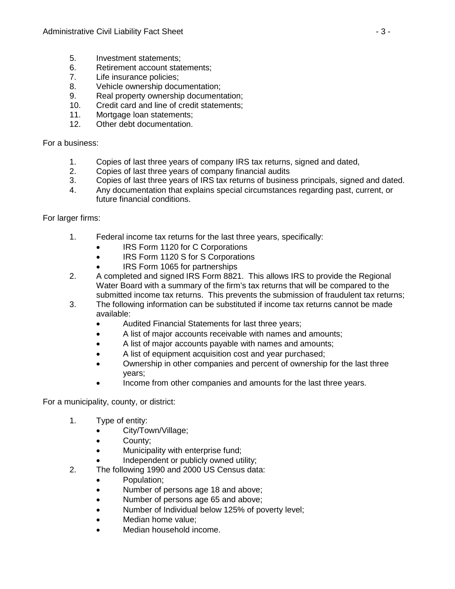- 5. Investment statements;
- 6. Retirement account statements;
- 7. Life insurance policies;
- 8. Vehicle ownership documentation;
- 9. Real property ownership documentation;
- 10. Credit card and line of credit statements;
- 11. Mortgage loan statements;
- 12. Other debt documentation.

For a business:

- 1. Copies of last three years of company IRS tax returns, signed and dated,
- 2. Copies of last three years of company financial audits<br>3. Copies of last three years of IRS tax returns of busines
- 3. Copies of last three years of IRS tax returns of business principals, signed and dated.
- 4. Any documentation that explains special circumstances regarding past, current, or future financial conditions.

For larger firms:

- 1. Federal income tax returns for the last three years, specifically:
	- IRS Form 1120 for C Corporations
	- IRS Form 1120 S for S Corporations
	- IRS Form 1065 for partnerships
- 2. A completed and signed IRS Form 8821. This allows IRS to provide the Regional Water Board with a summary of the firm's tax returns that will be compared to the submitted income tax returns. This prevents the submission of fraudulent tax returns;
- 3. The following information can be substituted if income tax returns cannot be made available:
	- Audited Financial Statements for last three years;
	- A list of major accounts receivable with names and amounts;
	- A list of major accounts payable with names and amounts;
	- A list of equipment acquisition cost and year purchased;
	- Ownership in other companies and percent of ownership for the last three years;
	- Income from other companies and amounts for the last three years.

For a municipality, county, or district:

- 1. Type of entity:
	- City/Town/Village;
	- County;
	- Municipality with enterprise fund;
	- Independent or publicly owned utility;
- 2. The following 1990 and 2000 US Census data:
	- Population;
	- Number of persons age 18 and above;
	- Number of persons age 65 and above;
	- Number of Individual below 125% of poverty level;
	- Median home value;
	- Median household income.